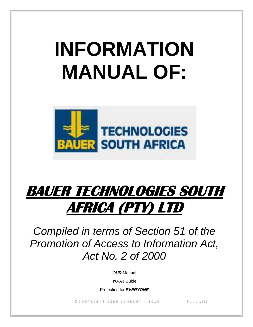# **INFORMATION MANUAL OF:**



# **BAUER TECHNOLOGIES SOUTH AFRICA (PTY) LTD**

*Compiled in terms of Section 51 of the Promotion of Access to Information Act, Act No. 2 of 2000*

*OUR* Manual

*YOUR* Guide

Protection for *EVERYONE*

© C O P Y R I G H T S E R R S Y N E R G Y - 2015 P a g e 1 | 62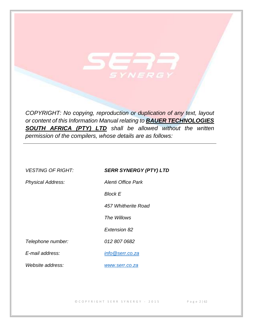*COPYRIGHT: No copying, reproduction or duplication of any text, layout or content of this Information Manual relating to BAUER TECHNOLOGIES SOUTH AFRICA (PTY) LTD shall be allowed without the written permission of the compilers, whose details are as follows:*

YNERG

| <b>VESTING OF RIGHT:</b> | <b>SERR SYNERGY (PTY) LTD</b> |
|--------------------------|-------------------------------|
| <b>Physical Address:</b> | Alenti Office Park            |
|                          | <b>Block E</b>                |
|                          | 457 Whitherite Road           |
|                          | The Willows                   |
|                          | Extension 82                  |
| Telephone number:        | 012 807 0682                  |
| E-mail address:          | info@serr.co.za               |
| Website address:         | www.serr.co.za                |

© C O P Y R I G H T S E R R S Y N E R G Y - 2015 P a g e 2 | 62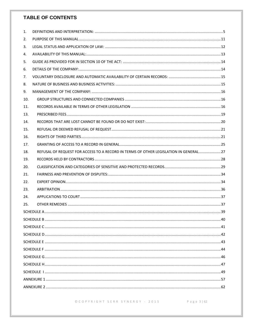## **TABLE OF CONTENTS**

| 1.  |                                                                                       |  |  |  |
|-----|---------------------------------------------------------------------------------------|--|--|--|
| 2.  |                                                                                       |  |  |  |
| 3.  |                                                                                       |  |  |  |
| 4.  |                                                                                       |  |  |  |
| 5.  |                                                                                       |  |  |  |
| 6.  |                                                                                       |  |  |  |
| 7.  |                                                                                       |  |  |  |
| 8.  |                                                                                       |  |  |  |
| 9.  |                                                                                       |  |  |  |
| 10. |                                                                                       |  |  |  |
| 11. |                                                                                       |  |  |  |
| 13. |                                                                                       |  |  |  |
| 14. |                                                                                       |  |  |  |
| 15. |                                                                                       |  |  |  |
| 16. |                                                                                       |  |  |  |
| 17. |                                                                                       |  |  |  |
| 18. | REFUSAL OF REQUEST FOR ACCESS TO A RECORD IN TERMS OF OTHER LEGISLATION IN GENERAL 27 |  |  |  |
| 19. |                                                                                       |  |  |  |
| 20. |                                                                                       |  |  |  |
| 21. |                                                                                       |  |  |  |
| 22. |                                                                                       |  |  |  |
| 23. |                                                                                       |  |  |  |
| 24. |                                                                                       |  |  |  |
| 25. |                                                                                       |  |  |  |
|     |                                                                                       |  |  |  |
|     |                                                                                       |  |  |  |
|     |                                                                                       |  |  |  |
|     |                                                                                       |  |  |  |
|     |                                                                                       |  |  |  |
|     |                                                                                       |  |  |  |
|     |                                                                                       |  |  |  |
|     |                                                                                       |  |  |  |
|     |                                                                                       |  |  |  |
|     |                                                                                       |  |  |  |
|     |                                                                                       |  |  |  |
|     |                                                                                       |  |  |  |

 $@{\text{C}OPT\text{RIGHT} {\begin{tabular}{lcccccc} \small{S} \small{ERR} & \small{S} \small{Y} \small{N} \small{ER} \small{G} \small{Y} & - & 2015 & \small{ & & & & \small{P} \small{age 3} \small{I} \small{62} \end{tabular} }$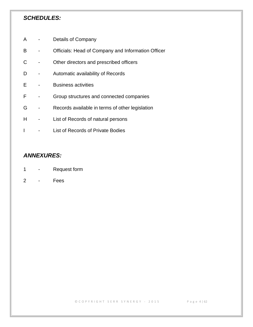## *SCHEDULES:*

- A Details of Company
- B Officials: Head of Company and Information Officer
- C Other directors and prescribed officers
- D Automatic availability of Records
- E Business activities
- F Group structures and connected companies
- G Records available in terms of other legislation
- H List of Records of natural persons
- I List of Records of Private Bodies

## *ANNEXURES:*

- 1 Request form
- 2 Fees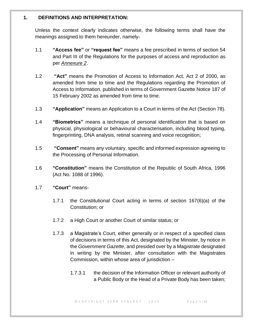#### <span id="page-4-0"></span>**1. DEFINITIONS AND INTERPRETATION:**

Unless the context clearly indicates otherwise, the following terms shall have the meanings assigned to them hereunder, namely-

- 1.1 **"Access fee"** or **"request fee"** means a fee prescribed in terms of section 54 and Part III of the Regulations for the purposes of access and reproduction as per *Annexure 2*.
- 1.2 **"Act"** means the Promotion of Access to Information Act, Act 2 of 2000, as amended from time to time and the Regulations regarding the Promotion of Access to Information, published in terms of Government Gazette Notice 187 of 15 February 2002 as amended from time to time.
- 1.3 **"Application"** means an Application to a Court in terms of the Act (Section 78).
- 1.4 **"Biometrics"** means a technique of personal identification that is based on physical, physiological or behavioural characterisation, including blood typing, fingerprinting, DNA analysis, retinal scanning and voice recognition;
- 1.5 **"Consent"** means any voluntary, specific and informed expression agreeing to the Processing of Personal Information.
- 1.6 **"Constitution"** means the Constitution of the Republic of South Africa, 1996 (Act No. 1088 of 1996).
- 1.7 **"Court"** means-
	- 1.7.1 the Constitutional Court acting in terms of section 167(6)(a) of the Constitution; or
	- 1.7.2 a High Court or another Court of similar status; or
	- 1.7.3 a Magistrate's Court, either generally or in respect of a specified class of decisions in terms of this Act, designated by the Minister, by notice in the *Government Gazette*, and presided over by a Magistrate designated in writing by the Minister, after consultation with the Magistrates Commission, within whose area of jurisdiction –
		- 1.7.3.1 the decision of the Information Officer or relevant authority of a Public Body or the Head of a Private Body has been taken;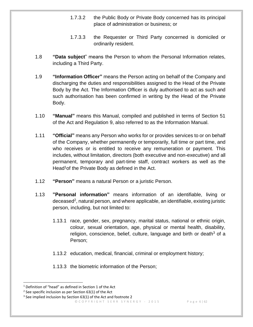- 1.7.3.2 the Public Body or Private Body concerned has its principal place of administration or business; or
- 1.7.3.3 the Requester or Third Party concerned is domiciled or ordinarily resident.
- 1.8 **"Data subject**" means the Person to whom the Personal Information relates, including a Third Party.
- 1.9 **"Information Officer"** means the Person acting on behalf of the Company and discharging the duties and responsibilities assigned to the Head of the Private Body by the Act. The Information Officer is duly authorised to act as such and such authorisation has been confirmed in writing by the Head of the Private Body.
- 1.10 **"Manual"** means this Manual, compiled and published in terms of Section 51 of the Act and Regulation 9, also referred to as the Information Manual.
- 1.11 **"Official"** means any Person who works for or provides services to or on behalf of the Company, whether permanently or temporarily, full time or part time, and who receives or is entitled to receive any remuneration or payment. This includes, without limitation, directors (both executive and non-executive) and all permanent, temporary and part-time staff, contract workers as well as the Head<sup>1</sup> of the Private Body as defined in the Act.
- 1.12 **"Person"** means a natural Person or a juristic Person.
- 1.13 **"Personal information"** means information of an identifiable, living or deceased<sup>2</sup>, natural person, and where applicable, an identifiable, existing juristic person, including, but not limited to:
	- 1.13.1 race, gender, sex, pregnancy, marital status, national or ethnic origin, colour, sexual orientation, age, physical or mental health, disability, religion, conscience, belief, culture, language and birth or death<sup>3</sup> of a Person;
	- 1.13.2 education, medical, financial, criminal or employment history;
	- 1.13.3 the biometric information of the Person;

<sup>&</sup>lt;sup>1</sup> Definition of "head" as defined in Section 1 of the Act

 $2$  See specific inclusion as per Section 63(1) of the Act

 $3$  See implied inclusion by Section 63(1) of the Act and footnote 2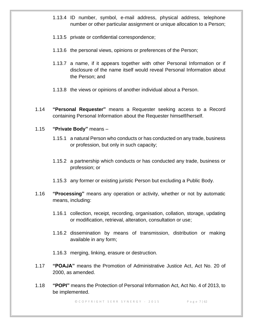- 1.13.4 ID number, symbol, e-mail address, physical address, telephone number or other particular assignment or unique allocation to a Person;
- 1.13.5 private or confidential correspondence;
- 1.13.6 the personal views, opinions or preferences of the Person;
- 1.13.7 a name, if it appears together with other Personal Information or if disclosure of the name itself would reveal Personal Information about the Person; and
- 1.13.8 the views or opinions of another individual about a Person.
- 1.14 **"Personal Requester"** means a Requester seeking access to a Record containing Personal Information about the Requester himself/herself.

## 1.15 **"Private Body"** means –

- 1.15.1 a natural Person who conducts or has conducted on any trade, business or profession, but only in such capacity;
- 1.15.2 a partnership which conducts or has conducted any trade, business or profession; or
- 1.15.3 any former or existing juristic Person but excluding a Public Body.
- 1.16 **"Processing"** means any operation or activity, whether or not by automatic means, including:
	- 1.16.1 collection, receipt, recording, organisation, collation, storage, updating or modification, retrieval, alteration, consultation or use;
	- 1.16.2 dissemination by means of transmission, distribution or making available in any form;
	- 1.16.3 merging, linking, erasure or destruction.
- 1.17 **"POAJA"** means the Promotion of Administrative Justice Act, Act No. 20 of 2000, as amended.
- 1.18 **"POPI"** means the Protection of Personal Information Act, Act No. 4 of 2013, to be implemented.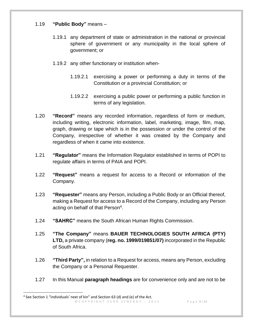## 1.19 **"Public Body"** means –

- 1.19.1 any department of state or administration in the national or provincial sphere of government or any municipality in the local sphere of government; or
- 1.19.2 any other functionary or institution when-
	- 1.19.2.1 exercising a power or performing a duty in terms of the Constitution or a provincial Constitution; or
	- 1.19.2.2 exercising a public power or performing a public function in terms of any legislation.
- 1.20 **"Record"** means any recorded information, regardless of form or medium, including writing, electronic information, label, marketing, image, film, map, graph, drawing or tape which is in the possession or under the control of the Company, irrespective of whether it was created by the Company and regardless of when it came into existence.
- 1.21 **"Regulator"** means the Information Regulator established in terms of POPI to regulate affairs in terms of PAIA and POPI.
- 1.22 **"Request"** means a request for access to a Record or information of the Company.
- 1.23 **"Requester"** means any Person, including a Public Body or an Official thereof, making a Request for access to a Record of the Company, including any Person acting on behalf of that Person<sup>4</sup>.
- 1.24 **"SAHRC"** means the South African Human Rights Commission.
- 1.25 **"The Company"** means **BAUER TECHNOLOGIES SOUTH AFRICA (PTY) LTD,** a private company (**reg. no. 1999/019851/07)** incorporated in the Republic of South Africa.
- 1.26 **"Third Party",** in relation to a Request for access, means any Person, excluding the Company or a Personal Requester.
- 1.27 In this Manual **paragraph headings** are for convenience only and are not to be

<sup>©</sup> C O P Y R I G H T S E R R S Y N E R G Y - 2015 P a g e 8 | 62 <sup>4</sup> See Section 1 "individuals' next of kin" and Section 63 (d) and (e) of the Act.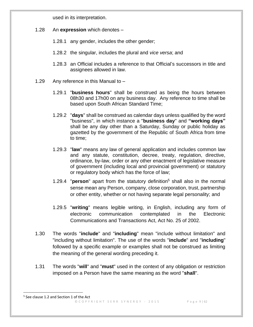used in its interpretation.

- 1.28 An **expression** which denotes
	- 1.28.1 any gender, includes the other gender;
	- 1.28.2 the singular, includes the plural and *vice versa*; and
	- 1.28.3 an Official includes a reference to that Official's successors in title and assignees allowed in law.
- 1.29 Any reference in this Manual to
	- 1.29.1 "**business hours**" shall be construed as being the hours between 08h30 and 17h00 on any business day. Any reference to time shall be based upon South African Standard Time;
	- 1.29.2 "**days**" shall be construed as calendar days unless qualified by the word "business", in which instance a "**business day**" and **"working days"** shall be any day other than a Saturday, Sunday or public holiday as gazetted by the government of the Republic of South Africa from time to time;
	- 1.29.3 "**law**" means any law of general application and includes common law and any statute, constitution, decree, treaty, regulation, directive, ordinance, by-law, order or any other enactment of legislative measure of government (including local and provincial government) or statutory or regulatory body which has the force of law;
	- 1.29.4 "**person**" apart from the statutory definition<sup>5</sup> shall also in the normal sense mean any Person, company, close corporation, trust, partnership or other entity, whether or not having separate legal personality; and
	- 1.29.5 "**writing**" means legible writing, in English, including any form of electronic communication contemplated in the Electronic Communications and Transactions Act, Act No. 25 of 2002.
- 1.30 The words "**include**" and "**including**" mean "include without limitation" and "including without limitation". The use of the words "**include**" and "**including**" followed by a specific example or examples shall not be construed as limiting the meaning of the general wording preceding it.
- 1.31 The words "**will**" and "**must**" used in the context of any obligation or restriction imposed on a Person have the same meaning as the word "**shall**".

<sup>©</sup> C O P Y R I G H T S E R R S Y N E R G Y - 2015 P a g e 9 | 62 5 See clause 1.2 and Section 1 of the Act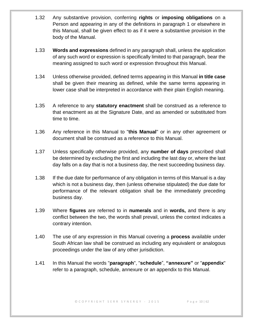- 1.32 Any substantive provision, conferring **rights** or **imposing obligations** on a Person and appearing in any of the definitions in paragraph 1 or elsewhere in this Manual, shall be given effect to as if it were a substantive provision in the body of the Manual.
- 1.33 **Words and expressions** defined in any paragraph shall, unless the application of any such word or expression is specifically limited to that paragraph, bear the meaning assigned to such word or expression throughout this Manual.
- 1.34 Unless otherwise provided, defined terms appearing in this Manual **in title case** shall be given their meaning as defined, while the same terms appearing in lower case shall be interpreted in accordance with their plain English meaning.
- 1.35 A reference to any **statutory enactment** shall be construed as a reference to that enactment as at the Signature Date, and as amended or substituted from time to time.
- 1.36 Any reference in this Manual to "**this Manual**" or in any other agreement or document shall be construed as a reference to this Manual.
- 1.37 Unless specifically otherwise provided, any **number of days** prescribed shall be determined by excluding the first and including the last day or, where the last day falls on a day that is not a business day, the next succeeding business day.
- 1.38 If the due date for performance of any obligation in terms of this Manual is a day which is not a business day, then (unless otherwise stipulated) the due date for performance of the relevant obligation shall be the immediately preceding business day.
- 1.39 Where **figures** are referred to in **numerals** and in **words,** and there is any conflict between the two, the words shall prevail, unless the context indicates a contrary intention.
- 1.40 The use of any expression in this Manual covering a **process** available under South African law shall be construed as including any equivalent or analogous proceedings under the law of any other jurisdiction.
- 1.41 In this Manual the words "**paragraph**", "**schedule**", **"annexure"** or "**appendix**" refer to a paragraph, schedule, annexure or an appendix to this Manual.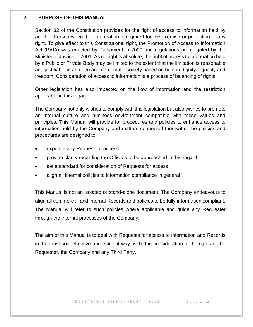#### <span id="page-10-0"></span>**2. PURPOSE OF THIS MANUAL**

Section 32 of the Constitution provides for the right of access to information held by another Person when that information is required for the exercise or protection of any right. To give effect to this Constitutional right, the Promotion of Access to Information Act (PAIA) was enacted by Parliament in 2000 and regulations promulgated by the Minister of Justice in 2001. As no right is absolute, the right of access to information held by a Public or Private Body may be limited to the extent that the limitation is reasonable and justifiable in an open and democratic society based on human dignity, equality and freedom. Consideration of access to information is a process of balancing of rights.

Other legislation has also impacted on the flow of information and the restriction applicable in this regard.

The Company not only wishes to comply with this legislation but also wishes to promote an internal culture and business environment compatible with these values and principles. This Manual will provide for procedures and policies to enhance access to information held by the Company and matters connected therewith. The policies and procedures are designed to:

- expedite any Request for access
- provide clarity regarding the Officials to be approached in this regard
- set a standard for consideration of Requests for access
- align all internal policies to information compliance in general.

This Manual is not an isolated or stand-alone document. The Company endeavours to align all commercial and internal Records and policies to be fully information compliant. The Manual will refer to such policies where applicable and guide any Requester through the internal processes of the Company.

The aim of this Manual is to deal with Requests for access to information and Records in the most cost-effective and efficient way, with due consideration of the rights of the Requester, the Company and any Third Party.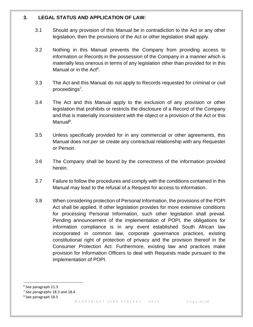#### <span id="page-11-0"></span>**3. LEGAL STATUS AND APPLICATION OF LAW:**

- 3.1 Should any provision of this Manual be in contradiction to the Act or any other legislation, then the provisions of the Act or other legislation shall apply.
- 3.2 Nothing in this Manual prevents the Company from providing access to information or Records in the possession of the Company in a manner which is materially less onerous in terms of any legislation other than provided for in this Manual or in the Act<sup>6</sup>.
- 3.3 The Act and this Manual do not apply to Records requested for criminal or civil proceedings<sup>7</sup>.
- 3.4 The Act and this Manual apply to the exclusion of any provision or other legislation that prohibits or restricts the disclosure of a Record of the Company and that is materially inconsistent with the object or a provision of the Act or this Manual<sup>8</sup>.
- 3.5 Unless specifically provided for in any commercial or other agreements, this Manual does not *per se* create any contractual relationship with any Requester or Person.
- 3.6 The Company shall be bound by the correctness of the information provided herein.
- 3.7 Failure to follow the procedures and comply with the conditions contained in this Manual may lead to the refusal of a Request for access to information.
- 3.8 When considering protection of Personal Information, the provisions of the POPI Act shall be applied. If other legislation provides for more extensive conditions for processing Personal Information, such other legislation shall prevail. Pending announcement of the implementation of POPI, the obligations for information compliance is in any event established South African law incorporated in common law, corporate governance practices, existing constitutional right of protection of privacy and the provision thereof in the Consumer Protection Act. Furthermore, existing law and practices make provision for Information Officers to deal with Requests made pursuant to the implementation of POPI.

<sup>6</sup> See paragraph 11.3

 $7$  See paragraphs 18.3 and 18.4

<sup>8</sup> See paragraph 18.5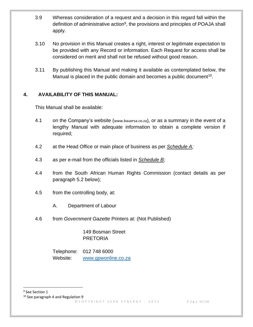- 3.9 Whereas consideration of a request and a decision in this regard fall within the definition of administrative action<sup>9</sup>, the provisions and principles of POAJA shall apply.
- 3.10 No provision in this Manual creates a right, interest or legitimate expectation to be provided with any Record or information. Each Request for access shall be considered on merit and shall not be refused without good reason.
- 3.11 By publishing this Manual and making it available as contemplated below, the Manual is placed in the public domain and becomes a public document<sup>10</sup>.

## <span id="page-12-0"></span>**4. AVAILABILITY OF THIS MANUAL:**

This Manual shall be available:

- 4.1 on the Company's website (www.bauersa.co.za), or as a summary in the event of a lengthy Manual with adequate information to obtain a complete version if required;
- 4.2 at the Head Office or main place of business as per *Schedule A;*
- 4.3 as per e-mail from the officials listed in *Schedule B;*
- 4.4 from the South African Human Rights Commission (contact details as per paragraph 5.2 below);
- 4.5 from the controlling body, at:
	- A. Department of Labour
- 4.6 from *Government Gazette* Printers at: (Not Published)

149 Bosman Street PRETORIA

Telephone: 012 748 6000 Website: [www.gpwonline.co.za](http://www.gpwonline.co.za/)

<sup>9</sup> See Section 1

<sup>10</sup> See paragraph 4 and Regulation 9

© C O P Y R I G H T S E R R S Y N E R G Y - 2015 P a g e 13 | 62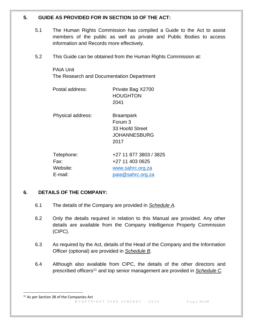## <span id="page-13-0"></span>**5. GUIDE AS PROVIDED FOR IN SECTION 10 OF THE ACT:**

- 5.1 The Human Rights Commission has compiled a Guide to the Act to assist members of the public as well as private and Public Bodies to access information and Records more effectively.
- 5.2 This Guide can be obtained from the Human Rights Commission at:

PAIA Unit The Research and Documentation Department

| Postal address:                           | Private Bag X2700<br><b>HOUGHTON</b><br>2041                                       |
|-------------------------------------------|------------------------------------------------------------------------------------|
| Physical address:                         | <b>Braampark</b><br>Forum 3<br>33 Hoofd Street<br>JOHANNESBURG<br>2017             |
| Telephone:<br>Fax:<br>Website:<br>F-mail: | +27 11 877 3803 / 3825<br>+27 11 403 0625<br>www.sahrc.org.za<br>paia@sahrc.org.za |

## <span id="page-13-1"></span>**6. DETAILS OF THE COMPANY:**

- 6.1 The details of the Company are provided in *Schedule A.*
- 6.2 Only the details required in relation to this Manual are provided. Any other details are available from the Company Intelligence Property Commission (CIPC).
- 6.3 As required by the Act, details of the Head of the Company and the Information Officer (optional) are provided in *Schedule B*.
- 6.4 Although also available from CIPC, the details of the other directors and prescribed officers<sup>11</sup> and top senior management are provided in *Schedule C.*

<sup>©</sup> C O P Y R I G H T S E R R S Y N E R G Y - 2015 P a g e 14 | 62 <sup>11</sup> As per Section 38 of the Companies Act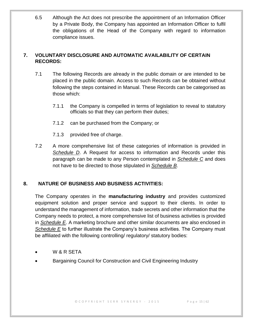6.5 Although the Act does not prescribe the appointment of an Information Officer by a Private Body, the Company has appointed an Information Officer to fulfil the obligations of the Head of the Company with regard to information compliance issues.

## <span id="page-14-0"></span>**7. VOLUNTARY DISCLOSURE AND AUTOMATIC AVAILABILITY OF CERTAIN RECORDS:**

- 7.1 The following Records are already in the public domain or are intended to be placed in the public domain. Access to such Records can be obtained without following the steps contained in Manual. These Records can be categorised as those which:
	- 7.1.1 the Company is compelled in terms of legislation to reveal to statutory officials so that they can perform their duties;
	- 7.1.2 can be purchased from the Company; or
	- 7.1.3 provided free of charge.
- 7.2 A more comprehensive list of these categories of information is provided in *Schedule D*. A Request for access to information and Records under this paragraph can be made to any Person contemplated in *Schedule C* and does not have to be directed to those stipulated in *Schedule B*.

## <span id="page-14-1"></span>**8. NATURE OF BUSINESS AND BUSINESS ACTIVITIES:**

The Company operates in the **manufacturing industry** and provides customized equipment solution and proper service and support to their clients. In order to understand the management of information, trade secrets and other information that the Company needs to protect, a more comprehensive list of business activities is provided in *Schedule E*. A marketing brochure and other similar documents are also enclosed in *Schedule E* to further illustrate the Company's business activities. The Company must be affiliated with the following controlling/ regulatory/ statutory bodies:

- W & R SETA
- Bargaining Council for Construction and Civil Engineering Industry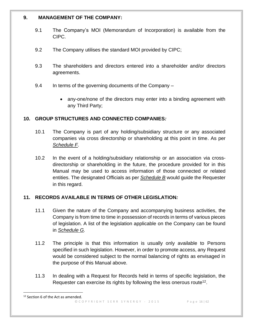### <span id="page-15-0"></span>**9. MANAGEMENT OF THE COMPANY:**

- 9.1 The Company's MOI (Memorandum of Incorporation) is available from the CIPC.
- 9.2 The Company utilises the standard MOI provided by CIPC;
- 9.3 The shareholders and directors entered into a shareholder and/or directors agreements.
- 9.4 In terms of the governing documents of the Company
	- any-one/none of the directors may enter into a binding agreement with any Third Party;

## <span id="page-15-1"></span>**10. GROUP STRUCTURES AND CONNECTED COMPANIES***:*

- 10.1 The Company is part of any holding/subsidiary structure or any associated companies via cross directorship or shareholding at this point in time. As per *Schedule F*.
- 10.2 In the event of a holding/subsidiary relationship or an association via crossdirectorship or shareholding in the future, the procedure provided for in this Manual may be used to access information of those connected or related entities. The designated Officials as per *Schedule B* would guide the Requester in this regard.

## <span id="page-15-2"></span>**11. RECORDS AVAILABLE IN TERMS OF OTHER LEGISLATION***:*

- 11.1 Given the nature of the Company and accompanying business activities, the Company is from time to time in possession of records in terms of various pieces of legislation. A list of the legislation applicable on the Company can be found in *Schedule G.*
- 11.2 The principle is that this information is usually only available to Persons specified in such legislation. However, in order to promote access, any Request would be considered subject to the normal balancing of rights as envisaged in the purpose of this Manual above.
- 11.3 In dealing with a Request for Records held in terms of specific legislation, the Requester can exercise its rights by following the less onerous route<sup>12</sup>.

<sup>12</sup> Section 6 of the Act as amended.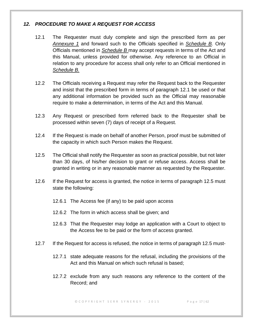## *12. PROCEDURE TO MAKE A REQUEST FOR ACCESS*

- 12.1 The Requester must duly complete and sign the prescribed form as per *Annexure 1* and forward such to the Officials specified in *Schedule B.* Only Officials mentioned in *Schedule B* may accept requests in terms of the Act and this Manual, unless provided for otherwise. Any reference to an Official in relation to any procedure for access shall only refer to an Official mentioned in *Schedule B.*
- 12.2 The Officials receiving a Request may refer the Request back to the Requester and insist that the prescribed form in terms of paragraph 12.1 be used or that any additional information be provided such as the Official may reasonable require to make a determination, in terms of the Act and this Manual.
- 12.3 Any Request or prescribed form referred back to the Requester shall be processed within seven (7) days of receipt of a Request.
- 12.4 If the Request is made on behalf of another Person, proof must be submitted of the capacity in which such Person makes the Request.
- 12.5 The Official shall notify the Requester as soon as practical possible, but not later than 30 days, of his/her decision to grant or refuse access. Access shall be granted in writing or in any reasonable manner as requested by the Requester.
- 12.6 If the Request for access is granted, the notice in terms of paragraph 12.5 must state the following:
	- 12.6.1 The Access fee (if any) to be paid upon access
	- 12.6.2 The form in which access shall be given; and
	- 12.6.3 That the Requester may lodge an application with a Court to object to the Access fee to be paid or the form of access granted.
- 12.7 If the Request for access is refused, the notice in terms of paragraph 12.5 must-
	- 12.7.1 state adequate reasons for the refusal, including the provisions of the Act and this Manual on which such refusal is based;
	- 12.7.2 exclude from any such reasons any reference to the content of the Record; and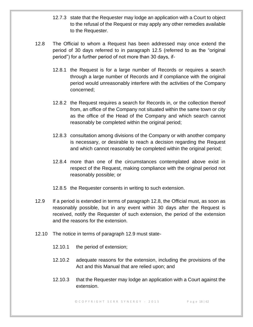- 12.7.3 state that the Requester may lodge an application with a Court to object to the refusal of the Request or may apply any other remedies available to the Requester.
- 12.8 The Official to whom a Request has been addressed may once extend the period of 30 days referred to in paragraph 12.5 (referred to as the "original period") for a further period of not more than 30 days, if-
	- 12.8.1 the Request is for a large number of Records or requires a search through a large number of Records and if compliance with the original period would unreasonably interfere with the activities of the Company concerned;
	- 12.8.2 the Request requires a search for Records in, or the collection thereof from, an office of the Company not situated within the same town or city as the office of the Head of the Company and which search cannot reasonably be completed within the original period;
	- 12.8.3 consultation among divisions of the Company or with another company is necessary, or desirable to reach a decision regarding the Request and which cannot reasonably be completed within the original period;
	- 12.8.4 more than one of the circumstances contemplated above exist in respect of the Request, making compliance with the original period not reasonably possible; or
	- 12.8.5 the Requester consents in writing to such extension.
- 12.9 If a period is extended in terms of paragraph 12.8, the Official must, as soon as reasonably possible, but in any event within 30 days after the Request is received, notify the Requester of such extension, the period of the extension and the reasons for the extension.
- 12.10 The notice in terms of paragraph 12.9 must state-
	- 12.10.1 the period of extension;
	- 12.10.2 adequate reasons for the extension, including the provisions of the Act and this Manual that are relied upon; and
	- 12.10.3 that the Requester may lodge an application with a Court against the extension.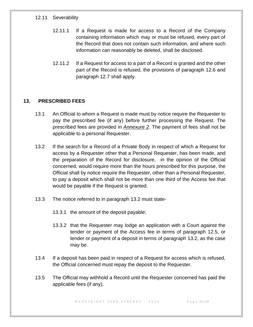#### 12.11 Severability

- 12.11.1 If a Request is made for access to a Record of the Company containing information which may or must be refused, every part of the Record that does not contain such information, and where such information can reasonably be deleted, shall be disclosed.
- 12.11.2 If a Request for access to a part of a Record is granted and the other part of the Record is refused, the provisions of paragraph 12.6 and paragraph 12.7 shall apply.

## <span id="page-18-0"></span>**13. PRESCRIBED FEES**

- 13.1 An Official to whom a Request is made must by notice require the Requester to pay the prescribed fee (if any) before further processing the Request. The prescribed fees are provided in *Annexure 2*. The payment of fees shall not be applicable to a personal Requester.
- 13.2 If the search for a Record of a Private Body in respect of which a Request for access by a Requester other that a Personal Requester, has been made, and the preparation of the Record for disclosure, in the opinion of the Official concerned, would require more than the hours prescribed for this purpose, the Official shall by notice require the Requester, other than a Personal Requester, to pay a deposit which shall not be more than one third of the Access fee that would be payable if the Request is granted.
- 13.3 The notice referred to in paragraph 13.2 must state-
	- 13.3.1 the amount of the deposit payable;
	- 13.3.2 that the Requester may lodge an application with a Court against the tender or payment of the Access fee in terms of paragraph 12.5, or tender or payment of a deposit in terms of paragraph 13.2, as the case may be.
- 13.4 If a deposit has been paid in respect of a Request for access which is refused, the Official concerned must repay the deposit to the Requester.
- 13.5 The Official may withhold a Record until the Requester concerned has paid the applicable fees (if any).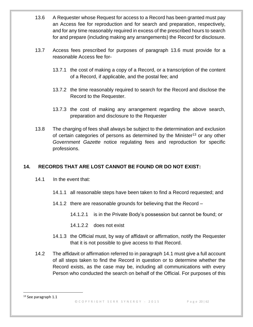- 13.6 A Requester whose Request for access to a Record has been granted must pay an Access fee for reproduction and for search and preparation, respectively, and for any time reasonably required in excess of the prescribed hours to search for and prepare (including making any arrangements) the Record for disclosure.
- 13.7 Access fees prescribed for purposes of paragraph 13.6 must provide for a reasonable Access fee for-
	- 13.7.1 the cost of making a copy of a Record, or a transcription of the content of a Record, if applicable, and the postal fee; and
	- 13.7.2 the time reasonably required to search for the Record and disclose the Record to the Requester.
	- 13.7.3 the cost of making any arrangement regarding the above search, preparation and disclosure to the Requester
- 13.8 The charging of fees shall always be subject to the determination and exclusion of certain categories of persons as determined by the Minister<sup>13</sup> or any other *Government Gazette* notice regulating fees and reproduction for specific professions.

## <span id="page-19-0"></span>**14. RECORDS THAT ARE LOST CANNOT BE FOUND OR DO NOT EXIST:**

- 14.1 In the event that:
	- 14.1.1 all reasonable steps have been taken to find a Record requested; and
	- 14.1.2 there are reasonable grounds for believing that the Record
		- 14.1.2.1 is in the Private Body's possession but cannot be found; or
		- 14.1.2.2 does not exist
	- 14.1.3 the Official must, by way of affidavit or affirmation, notify the Requester that it is not possible to give access to that Record.
- 14.2 The affidavit or affirmation referred to in paragraph 14.1 must give a full account of all steps taken to find the Record in question or to determine whether the Record exists, as the case may be, including all communications with every Person who conducted the search on behalf of the Official. For purposes of this

<sup>13</sup> See paragraph 1.1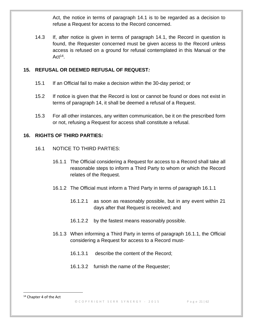Act, the notice in terms of paragraph 14.1 is to be regarded as a decision to refuse a Request for access to the Record concerned.

14.3 If, after notice is given in terms of paragraph 14.1, the Record in question is found, the Requester concerned must be given access to the Record unless access is refused on a ground for refusal contemplated in this Manual or the  $Act^{14}$ .

## <span id="page-20-0"></span>**15. REFUSAL OR DEEMED REFUSAL OF REQUEST***:*

- 15.1 If an Official fail to make a decision within the 30-day period; or
- 15.2 If notice is given that the Record is lost or cannot be found or does not exist in terms of paragraph 14, it shall be deemed a refusal of a Request.
- 15.3 For all other instances, any written communication, be it on the prescribed form or not, refusing a Request for access shall constitute a refusal.

## <span id="page-20-1"></span>**16. RIGHTS OF THIRD PARTIES***:*

- 16.1 NOTICE TO THIRD PARTIES:
	- 16.1.1 The Official considering a Request for access to a Record shall take all reasonable steps to inform a Third Party to whom or which the Record relates of the Request.
	- 16.1.2 The Official must inform a Third Party in terms of paragraph 16.1.1
		- 16.1.2.1 as soon as reasonably possible, but in any event within 21 days after that Request is received; and
		- 16.1.2.2 by the fastest means reasonably possible.
	- 16.1.3 When informing a Third Party in terms of paragraph 16.1.1, the Official considering a Request for access to a Record must-
		- 16.1.3.1 describe the content of the Record;
		- 16.1.3.2 furnish the name of the Requester;

<sup>&</sup>lt;sup>14</sup> Chapter 4 of the Act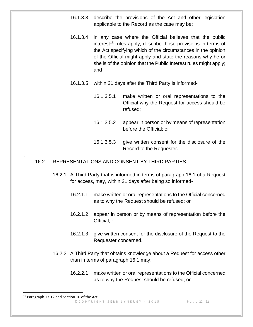- 16.1.3.3 describe the provisions of the Act and other legislation applicable to the Record as the case may be;
- 16.1.3.4 in any case where the Official believes that the public  $interest<sup>15</sup>$  rules apply, describe those provisions in terms of the Act specifying which of the circumstances in the opinion of the Official might apply and state the reasons why he or she is of the opinion that the Public Interest rules might apply; and
- 16.1.3.5 within 21 days after the Third Party is informed-
	- 16.1.3.5.1 make written or oral representations to the Official why the Request for access should be refused;
	- 16.1.3.5.2 appear in person or by means of representation before the Official; or
	- 16.1.3.5.3 give written consent for the disclosure of the Record to the Requester.

#### 16.2 REPRESENTATIONS AND CONSENT BY THIRD PARTIES:

- 16.2.1 A Third Party that is informed in terms of paragraph 16.1 of a Request for access, may, within 21 days after being so informed-
	- 16.2.1.1 make written or oral representations to the Official concerned as to why the Request should be refused; or
	- 16.2.1.2 appear in person or by means of representation before the Official; or
	- 16.2.1.3 give written consent for the disclosure of the Request to the Requester concerned.
- 16.2.2 A Third Party that obtains knowledge about a Request for access other than in terms of paragraph 16.1 may:
	- 16.2.2.1 make written or oral representations to the Official concerned as to why the Request should be refused; or

.

© C O P Y R I G H T S E R R S Y N E R G Y - 2015 P a g e 22 | 62

<sup>&</sup>lt;sup>15</sup> Paragraph 17.12 and Section 10 of the Act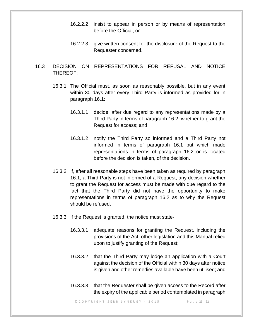- 16.2.2.2 insist to appear in person or by means of representation before the Official; or
- 16.2.2.3 give written consent for the disclosure of the Request to the Requester concerned.
- 16.3 DECISION ON REPRESENTATIONS FOR REFUSAL AND NOTICE THEREOF:
	- 16.3.1 The Official must, as soon as reasonably possible, but in any event within 30 days after every Third Party is informed as provided for in paragraph 16.1:
		- 16.3.1.1 decide, after due regard to any representations made by a Third Party in terms of paragraph 16.2, whether to grant the Request for access; and
		- 16.3.1.2 notify the Third Party so informed and a Third Party not informed in terms of paragraph 16.1 but which made representations in terms of paragraph 16.2 or is located before the decision is taken, of the decision.
	- 16.3.2 If, after all reasonable steps have been taken as required by paragraph 16.1, a Third Party is not informed of a Request, any decision whether to grant the Request for access must be made with due regard to the fact that the Third Party did not have the opportunity to make representations in terms of paragraph 16.2 as to why the Request should be refused.
	- 16.3.3 If the Request is granted, the notice must state-
		- 16.3.3.1 adequate reasons for granting the Request, including the provisions of the Act, other legislation and this Manual relied upon to justify granting of the Request;
		- 16.3.3.2 that the Third Party may lodge an application with a Court against the decision of the Official within 30 days after notice is given and other remedies available have been utilised; and
		- 16.3.3.3 that the Requester shall be given access to the Record after the expiry of the applicable period contemplated in paragraph

© C O P Y R I G H T S E R R S Y N E R G Y - 2015 P a g e 23 | 62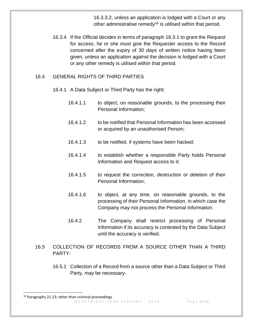16.3.3.2, unless an application is lodged with a Court or any other administrative remedy<sup>16</sup> is utilised within that period.

16.3.4 If the Official decides in terms of paragraph 16.3.1 to grant the Request for access, he or she must give the Requester access to the Record concerned after the expiry of 30 days of written notice having been given, unless an application against the decision is lodged with a Court or any other remedy is utilised within that period.

### 16.4 GENERAL RIGHTS OF THIRD PARTIES

16.4.1 A Data Subject or Third Party has the right:

- 16.4.1.1 to object, on reasonable grounds, to the processing their Personal Information;
- 16.4.1.2 to be notified that Personal Information has been accessed or acquired by an unauthorised Person;
- 16.4.1.3 to be notified, if systems have been hacked;
- 16.4.1.4 to establish whether a responsible Party holds Personal Information and Request access to it;
- 16.4.1.5 to request the correction, destruction or deletion of their Personal Information;
- 16.4.1.6 to object, at any time, on reasonable grounds, to the processing of their Personal Information, in which case the Company may not process the Personal Information.
- 16.4.2 The Company shall restrict processing of Personal Information if its accuracy is contested by the Data Subject until the accuracy is verified.
- 16.5 COLLECTION OF RECORDS FROM A SOURCE OTHER THAN A THIRD PARTY:
	- 16.5.1 Collection of a Record from a source other than a Data Subject or Third Party, may be necessary-

<sup>©</sup> C O P Y R I G H T S E R R S Y N E R G Y - 2015 P a g e 24 | 62 <sup>16</sup> Paragraphs 21-23: other than criminal proceedings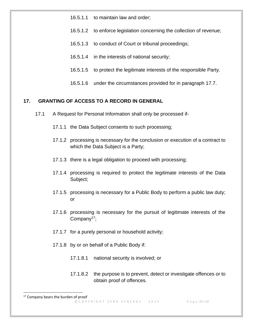- 16.5.1.1 to maintain law and order;
- 16.5.1.2 to enforce legislation concerning the collection of revenue;
- 16.5.1.3 to conduct of Court or tribunal proceedings;
- 16.5.1.4 in the interests of national security;
- 16.5.1.5 to protect the legitimate interests of the responsible Party.
- 16.5.1.6 under the circumstances provided for in paragraph 17.7.

#### <span id="page-24-0"></span>**17. GRANTING OF ACCESS TO A RECORD IN GENERAL**

- 17.1 A Request for Personal Information shall only be processed if-
	- 17.1.1 the Data Subject consents to such processing;
	- 17.1.2 processing is necessary for the conclusion or execution of a contract to which the Data Subject is a Party;
	- 17.1.3 there is a legal obligation to proceed with processing;
	- 17.1.4 processing is required to protect the legitimate interests of the Data Subject;
	- 17.1.5 processing is necessary for a Public Body to perform a public law duty; or
	- 17.1.6 processing is necessary for the pursuit of legitimate interests of the Company<sup>17</sup>;
	- 17.1.7 for a purely personal or household activity;
	- 17.1.8 by or on behalf of a Public Body if:
		- 17.1.8.1 national security is involved; or
		- 17.1.8.2 the purpose is to prevent, detect or investigate offences or to obtain proof of offences.

<sup>©</sup> C O P Y R I G H T S E R R S Y N E R G Y - 2015 P a g e 25 | 62 <sup>17</sup> Company bears the burden of proof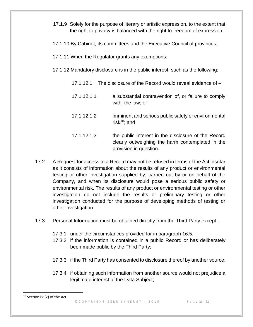- 17.1.9 Solely for the purpose of literary or artistic expression, to the extent that the right to privacy is balanced with the right to freedom of expression;
- 17.1.10 By Cabinet, its committees and the Executive Council of provinces;
- 17.1.11 When the Regulator grants any exemptions;
- 17.1.12 Mandatory disclosure is in the public interest, such as the following:
	- 17.1.12.1 The disclosure of the Record would reveal evidence of –
	- 17.1.12.1.1 a substantial contravention of, or failure to comply with, the law; or
	- 17.1.12.1.2 imminent and serious public safety or environmental risk $18$ ; and
	- 17.1.12.1.3 the public interest in the disclosure of the Record clearly outweighing the harm contemplated in the provision in question.
- 17.2 A Request for access to a Record may not be refused in terms of the Act insofar as it consists of information about the results of any product or environmental testing or other investigation supplied by, carried out by or on behalf of the Company, and when its disclosure would pose a serious public safety or environmental risk. The results of any product or environmental testing or other investigation do not include the results or preliminary testing or other investigation conducted for the purpose of developing methods of testing or other investigation.
- 17.3 Personal Information must be obtained directly from the Third Party except-:
	- 17.3.1 under the circumstances provided for in paragraph 16.5.
	- 17.3.2 if the information is contained in a public Record or has deliberately been made public by the Third Party;
	- 17.3.3 if the Third Party has consented to disclosure thereof by another source;
	- 17.3.4 if obtaining such information from another source would not prejudice a legitimate interest of the Data Subject;
- <sup>18</sup> Section 68(2) of the Act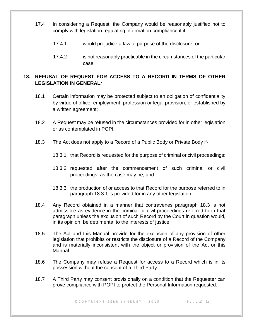- 17.4 In considering a Request, the Company would be reasonably justified not to comply with legislation regulating information compliance if it:
	- 17.4.1 would prejudice a lawful purpose of the disclosure; or
	- 17.4.2 is not reasonably practicable in the circumstances of the particular case.

## <span id="page-26-0"></span>**18. REFUSAL OF REQUEST FOR ACCESS TO A RECORD IN TERMS OF OTHER LEGISLATION IN GENERAL***:*

- 18.1 Certain information may be protected subject to an obligation of confidentiality by virtue of office, employment, profession or legal provision, or established by a written agreement;
- 18.2 A Request may be refused in the circumstances provided for in other legislation or as contemplated in POPI;
- 18.3 The Act does not apply to a Record of a Public Body or Private Body if-
	- 18.3.1 that Record is requested for the purpose of criminal or civil proceedings;
	- 18.3.2 requested after the commencement of such criminal or civil proceedings, as the case may be; and
	- 18.3.3 the production of or access to that Record for the purpose referred to in paragraph 18.3.1 is provided for in any other legislation.
- 18.4 Any Record obtained in a manner that contravenes paragraph 18.3 is not admissible as evidence in the criminal or civil proceedings referred to in that paragraph unless the exclusion of such Record by the Court in question would, in its opinion, be detrimental to the interests of justice.
- 18.5 The Act and this Manual provide for the exclusion of any provision of other legislation that prohibits or restricts the disclosure of a Record of the Company and is materially inconsistent with the object or provision of the Act or this Manual.
- 18.6 The Company may refuse a Request for access to a Record which is in its possession without the consent of a Third Party.
- 18.7 A Third Party may consent provisionally on a condition that the Requester can prove compliance with POPI to protect the Personal Information requested.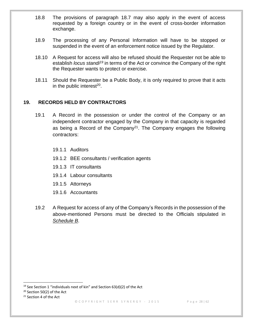- 18.8 The provisions of paragraph 18.7 may also apply in the event of access requested by a foreign country or in the event of cross-border information exchange.
- 18.9 The processing of any Personal Information will have to be stopped or suspended in the event of an enforcement notice issued by the Regulator.
- 18.10 A Request for access will also be refused should the Requester not be able to establish *locus standi<sup>19</sup>* in terms of the Act or convince the Company of the right the Requester wants to protect or exercise.
- 18.11 Should the Requester be a Public Body, it is only required to prove that it acts in the public interest $20$ .

## <span id="page-27-0"></span>**19. RECORDS HELD BY CONTRACTORS**

- 19.1 A Record in the possession or under the control of the Company or an independent contractor engaged by the Company in that capacity is regarded as being a Record of the Company<sup>21</sup>. The Company engages the following contractors:
	- 19.1.1 Auditors
	- 19.1.2 BEE consultants / verification agents
	- 19.1.3 IT consultants
	- 19.1.4 Labour consultants
	- 19.1.5 Attorneys
	- 19.1.6 Accountants
- 19.2 A Request for access of any of the Company's Records in the possession of the above-mentioned Persons must be directed to the Officials stipulated in *Schedule B*.

<sup>20</sup> Section 50(2) of the Act

<sup>&</sup>lt;sup>19</sup> See Section 1 "individuals next of kin" and Section  $63(d)(2)$  of the Act

<sup>&</sup>lt;sup>21</sup> Section 4 of the Act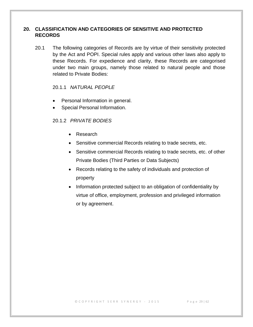## <span id="page-28-0"></span>**20. CLASSIFICATION AND CATEGORIES OF SENSITIVE AND PROTECTED RECORDS**

20.1 The following categories of Records are by virtue of their sensitivity protected by the Act and POPI. Special rules apply and various other laws also apply to these Records. For expedience and clarity, these Records are categorised under two main groups, namely those related to natural people and those related to Private Bodies:

## 20.1.1 *NATURAL PEOPLE*

- Personal Information in general.
- Special Personal Information.

## 20.1.2 *PRIVATE BODIES*

- Research
- Sensitive commercial Records relating to trade secrets, etc.
- Sensitive commercial Records relating to trade secrets, etc. of other Private Bodies (Third Parties or Data Subjects)
- Records relating to the safety of individuals and protection of property
- Information protected subject to an obligation of confidentiality by virtue of office, employment, profession and privileged information or by agreement.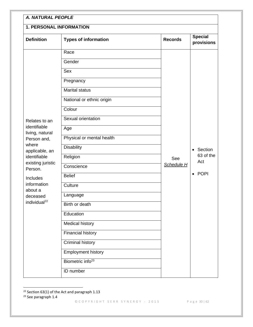|                                                                                                    | <b>1. PERSONAL INFORMATION</b> |                |                               |
|----------------------------------------------------------------------------------------------------|--------------------------------|----------------|-------------------------------|
| <b>Definition</b>                                                                                  | <b>Types of information</b>    | <b>Records</b> | <b>Special</b><br>provisions  |
|                                                                                                    | Race                           |                |                               |
|                                                                                                    | Gender                         |                |                               |
|                                                                                                    | Sex                            |                |                               |
|                                                                                                    | Pregnancy                      |                |                               |
|                                                                                                    | <b>Marital status</b>          |                |                               |
|                                                                                                    | National or ethnic origin      |                |                               |
|                                                                                                    | Colour                         |                |                               |
| Relates to an                                                                                      | Sexual orientation             |                |                               |
| identifiable<br>living, natural                                                                    | Age                            |                |                               |
| Person and,                                                                                        | Physical or mental health      |                |                               |
| where<br>applicable, an<br>identifiable<br>existing juristic<br>Person.<br>Includes<br>information | <b>Disability</b>              |                | • Section<br>63 of the<br>Act |
|                                                                                                    | Religion                       | See            |                               |
|                                                                                                    | Conscience                     | Schedule H     |                               |
|                                                                                                    | <b>Belief</b>                  |                | $\bullet$ POPI                |
|                                                                                                    | Culture                        |                |                               |
| about a<br>deceased                                                                                | Language                       |                |                               |
| individual <sup>22</sup>                                                                           | Birth or death                 |                |                               |
|                                                                                                    | Education                      |                |                               |
|                                                                                                    | <b>Medical history</b>         |                |                               |
|                                                                                                    | <b>Financial history</b>       |                |                               |
|                                                                                                    | Criminal history               |                |                               |
|                                                                                                    | <b>Employment history</b>      |                |                               |
|                                                                                                    | Biometric info <sup>23</sup>   |                |                               |
|                                                                                                    | ID number                      |                |                               |

 $22$  Section 63(1) of the Act and paragraph 1.13

© C O P Y R I G H T S E R R S Y N E R G Y - 2015 P a g e 30 | 62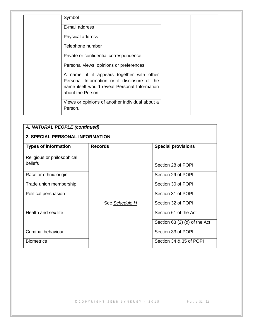| Symbol                                                                                                                                                          |  |
|-----------------------------------------------------------------------------------------------------------------------------------------------------------------|--|
| E-mail address                                                                                                                                                  |  |
| Physical address                                                                                                                                                |  |
| Telephone number                                                                                                                                                |  |
| Private or confidential correspondence                                                                                                                          |  |
| Personal views, opinions or preferences                                                                                                                         |  |
| A name, if it appears together with other<br>Personal Information or if disclosure of the<br>name itself would reveal Personal Information<br>about the Person. |  |
| Views or opinions of another individual about a<br>Person.                                                                                                      |  |

| A. NATURAL PEOPLE (continued)          |                |                               |  |  |
|----------------------------------------|----------------|-------------------------------|--|--|
| <b>2. SPECIAL PERSONAL INFORMATION</b> |                |                               |  |  |
| <b>Types of information</b>            | <b>Records</b> | <b>Special provisions</b>     |  |  |
| Religious or philosophical             |                |                               |  |  |
| beliefs                                |                | Section 28 of POPI            |  |  |
| Race or ethnic origin                  |                | Section 29 of POPI            |  |  |
| Trade union membership                 |                | Section 30 of POPI            |  |  |
| Political persuasion                   |                | Section 31 of POPI            |  |  |
|                                        | See Schedule H | Section 32 of POPI            |  |  |
| Health and sex life                    |                | Section 61 of the Act         |  |  |
|                                        |                | Section $63(2)(d)$ of the Act |  |  |
| Criminal behaviour                     |                | Section 33 of POPI            |  |  |
| <b>Biometrics</b>                      |                | Section 34 & 35 of POPI       |  |  |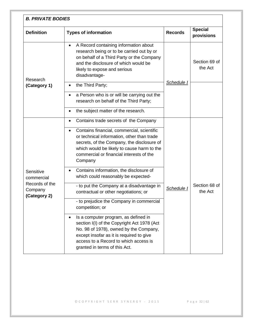| <b>Definition</b>                         | <b>Types of information</b>                                                                                                                                                                                                                              | <b>Records</b> | <b>Special</b><br>provisions |
|-------------------------------------------|----------------------------------------------------------------------------------------------------------------------------------------------------------------------------------------------------------------------------------------------------------|----------------|------------------------------|
| Research                                  | A Record containing information about<br>$\bullet$<br>research being or to be carried out by or<br>on behalf of a Third Party or the Company<br>and the disclosure of which would be<br>likely to expose and serious<br>disadvantage-                    |                | Section 69 of<br>the Act     |
| (Category 1)                              | the Third Party;<br>٠                                                                                                                                                                                                                                    | Schedule I     |                              |
|                                           | a Person who is or will be carrying out the<br>٠<br>research on behalf of the Third Party;                                                                                                                                                               |                |                              |
|                                           | the subject matter of the research.<br>٠                                                                                                                                                                                                                 |                |                              |
|                                           | Contains trade secrets of the Company<br>$\bullet$                                                                                                                                                                                                       |                |                              |
|                                           | Contains financial, commercial, scientific<br>$\bullet$<br>or technical information, other than trade<br>secrets, of the Company, the disclosure of<br>which would be likely to cause harm to the<br>commercial or financial interests of the<br>Company |                |                              |
| Sensitive<br>commercial                   | Contains information, the disclosure of<br>٠<br>which could reasonably be expected-                                                                                                                                                                      |                |                              |
| Records of the<br>Company<br>(Category 2) | - to put the Company at a disadvantage in<br>contractual or other negotiations; or                                                                                                                                                                       | Schedule I     | Section 68 of<br>the Act     |
|                                           | - to prejudice the Company in commercial<br>competition; or                                                                                                                                                                                              |                |                              |
|                                           | Is a computer program, as defined in<br>٠<br>section I(I) of the Copyright Act 1978 (Act<br>No. 98 of 1978), owned by the Company,<br>except insofar as it is required to give<br>access to a Record to which access is<br>granted in terms of this Act. |                |                              |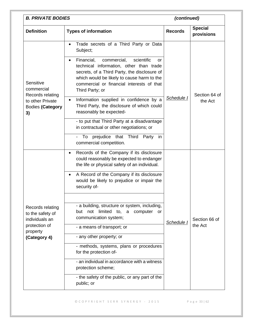| <b>B. PRIVATE BODIES</b>                               |                                                                                                                                                                                                                                                                     | (continued)    |                              |
|--------------------------------------------------------|---------------------------------------------------------------------------------------------------------------------------------------------------------------------------------------------------------------------------------------------------------------------|----------------|------------------------------|
| <b>Definition</b>                                      | <b>Types of information</b>                                                                                                                                                                                                                                         | <b>Records</b> | <b>Special</b><br>provisions |
|                                                        | Trade secrets of a Third Party or Data<br>$\bullet$<br>Subject;                                                                                                                                                                                                     |                |                              |
| Sensitive<br>commercial<br>Records relating            | Financial,<br>scientific<br>commercial,<br>or<br>$\bullet$<br>technical information, other than trade<br>secrets, of a Third Party, the disclosure of<br>which would be likely to cause harm to the<br>commercial or financial interests of that<br>Third Party; or |                | Section 64 of                |
| to other Private<br><b>Bodies (Category</b><br>3)      | Information supplied in confidence by a<br>٠<br>Third Party, the disclosure of which could<br>reasonably be expected-                                                                                                                                               | Schedule I     | the Act                      |
|                                                        | - to put that Third Party at a disadvantage<br>in contractual or other negotiations; or                                                                                                                                                                             |                |                              |
|                                                        | prejudice that Third Party<br>To<br>in<br>$\overline{\phantom{0}}$<br>commercial competition.                                                                                                                                                                       |                |                              |
|                                                        | Records of the Company if its disclosure<br>$\bullet$<br>could reasonably be expected to endanger<br>the life or physical safety of an individual.                                                                                                                  |                |                              |
|                                                        | A Record of the Company if its disclosure<br>$\bullet$<br>would be likely to prejudice or impair the<br>security of-                                                                                                                                                |                |                              |
|                                                        |                                                                                                                                                                                                                                                                     |                |                              |
| Records relating<br>to the safety of<br>individuals an | - a building, structure or system, including,<br>not limited to, a computer<br>but<br><b>or</b><br>communication system;                                                                                                                                            | Schedule I     | Section 66 of                |
| protection of<br>property                              | - a means of transport; or                                                                                                                                                                                                                                          |                | the Act                      |
| (Category 4)                                           | - any other property; or                                                                                                                                                                                                                                            |                |                              |
|                                                        | - methods, systems, plans or procedures<br>for the protection of-                                                                                                                                                                                                   |                |                              |
|                                                        | - an individual in accordance with a witness<br>protection scheme;                                                                                                                                                                                                  |                |                              |
|                                                        | - the safety of the public, or any part of the<br>public; or                                                                                                                                                                                                        |                |                              |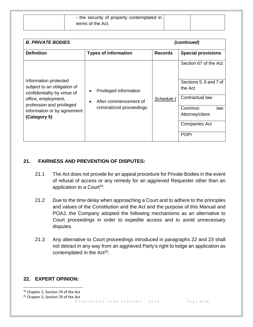| - the security of property contemplated in |  |
|--------------------------------------------|--|
| terms of the Act.                          |  |

| <b>B. PRIVATE BODIES</b>                                                                                                                 |                                                 |                | (continued)                       |
|------------------------------------------------------------------------------------------------------------------------------------------|-------------------------------------------------|----------------|-----------------------------------|
| <b>Definition</b>                                                                                                                        | <b>Types of information</b>                     | <b>Records</b> | <b>Special provisions</b>         |
|                                                                                                                                          |                                                 |                | Section 67 of the Act             |
| Information protected<br>subject to an obligation of<br>confidentiality by virtue of<br>office, employment,<br>profession and privileged | Privileged information<br>After commencement of | Schedule I     | Sections 5, 6 and 7 of<br>the Act |
|                                                                                                                                          |                                                 |                | Contractual law                   |
| information or by agreement                                                                                                              | criminal/civil proceedings                      |                | Common<br>law                     |
| (Category 5)                                                                                                                             |                                                 |                | Attorney/client                   |
|                                                                                                                                          |                                                 |                | <b>Companies Act</b>              |
|                                                                                                                                          |                                                 |                | <b>POPI</b>                       |

### <span id="page-33-0"></span>**21. FAIRNESS AND PREVENTION OF DISPUTES:**

- 21.1 The Act does not provide for an appeal procedure for Private Bodies in the event of refusal of access or any remedy for an aggrieved Requester other than an application to a Court<sup>24</sup>.
- 21.2 Due to the time delay when approaching a Court and to adhere to the principles and values of the Constitution and the Act and the purpose of this Manual and POAJ, the Company adopted the following mechanisms as an alternative to Court proceedings in order to expedite access and to avoid unnecessary disputes.
- 21.3 Any alternative to Court proceedings introduced in paragraphs 22 and 23 shall not detract in any way from an aggrieved Party's right to lodge an application as contemplated in the Act<sup>25</sup>.

## <span id="page-33-1"></span>**22. EXPERT OPINION***:*

<sup>&</sup>lt;sup>24</sup> Chapter 2, Section 70 of the Act

<sup>&</sup>lt;sup>25</sup> Chapter 2, Section 70 of the Act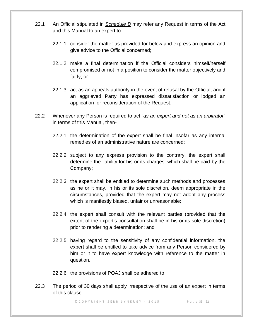- 22.1 An Official stipulated in *Schedule B* may refer any Request in terms of the Act and this Manual to an expert to-
	- 22.1.1 consider the matter as provided for below and express an opinion and give advice to the Official concerned;
	- 22.1.2 make a final determination if the Official considers himself/herself compromised or not in a position to consider the matter objectively and fairly; or
	- 22.1.3 act as an appeals authority in the event of refusal by the Official, and if an aggrieved Party has expressed dissatisfaction or lodged an application for reconsideration of the Request.
- 22.2 Whenever any Person is required to act "*as an expert and not as an arbitrator*" in terms of this Manual, then-
	- 22.2.1 the determination of the expert shall be final insofar as any internal remedies of an administrative nature are concerned;
	- 22.2.2 subject to any express provision to the contrary, the expert shall determine the liability for his or its charges, which shall be paid by the Company;
	- 22.2.3 the expert shall be entitled to determine such methods and processes as he or it may, in his or its sole discretion, deem appropriate in the circumstances, provided that the expert may not adopt any process which is manifestly biased, unfair or unreasonable;
	- 22.2.4 the expert shall consult with the relevant parties (provided that the extent of the expert's consultation shall be in his or its sole discretion) prior to rendering a determination; and
	- 22.2.5 having regard to the sensitivity of any confidential information, the expert shall be entitled to take advice from any Person considered by him or it to have expert knowledge with reference to the matter in question.

22.2.6 the provisions of POAJ shall be adhered to.

22.3 The period of 30 days shall apply irrespective of the use of an expert in terms of this clause.

© C O P Y R I G H T S E R R S Y N E R G Y - 2015 P a g e 35 | 62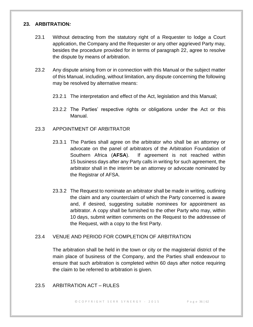#### <span id="page-35-0"></span>**23. ARBITRATION***:*

- 23.1 Without detracting from the statutory right of a Requester to lodge a Court application, the Company and the Requester or any other aggrieved Party may, besides the procedure provided for in terms of paragraph 22, agree to resolve the dispute by means of arbitration.
- 23.2 Any dispute arising from or in connection with this Manual or the subject matter of this Manual, including, without limitation, any dispute concerning the following may be resolved by alternative means:
	- 23.2.1 The interpretation and effect of the Act, legislation and this Manual;
	- 23.2.2 The Parties' respective rights or obligations under the Act or this Manual.

#### 23.3 APPOINTMENT OF ARBITRATOR

- 23.3.1 The Parties shall agree on the arbitrator who shall be an attorney or advocate on the panel of arbitrators of the Arbitration Foundation of Southern Africa (**AFSA**). If agreement is not reached within 15 business days after any Party calls in writing for such agreement, the arbitrator shall in the interim be an attorney or advocate nominated by the Registrar of AFSA.
- 23.3.2 The Request to nominate an arbitrator shall be made in writing, outlining the claim and any counterclaim of which the Party concerned is aware and, if desired, suggesting suitable nominees for appointment as arbitrator. A copy shall be furnished to the other Party who may, within 10 days, submit written comments on the Request to the addressee of the Request, with a copy to the first Party.

#### 23.4 VENUE AND PERIOD FOR COMPLETION OF ARBITRATION

The arbitration shall be held in the town or city or the magisterial district of the main place of business of the Company, and the Parties shall endeavour to ensure that such arbitration is completed within 60 days after notice requiring the claim to be referred to arbitration is given.

#### 23.5 ARBITRATION ACT – RULES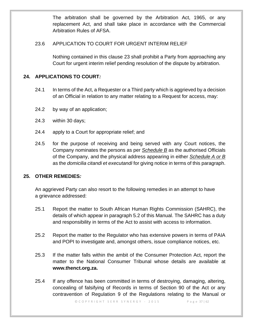The arbitration shall be governed by the Arbitration Act, 1965, or any replacement Act, and shall take place in accordance with the Commercial Arbitration Rules of AFSA.

## 23.6 APPLICATION TO COURT FOR URGENT INTERIM RELIEF

Nothing contained in this clause 23 shall prohibit a Party from approaching any Court for urgent interim relief pending resolution of the dispute by arbitration.

## <span id="page-36-0"></span>**24. APPLICATIONS TO COURT***:*

- 24.1 In terms of the Act, a Requester or a Third party which is aggrieved by a decision of an Official in relation to any matter relating to a Request for access, may:
- 24.2 by way of an application;
- 24.3 within 30 days;
- 24.4 apply to a Court for appropriate relief; and
- 24.5 for the purpose of receiving and being served with any Court notices, the Company nominates the persons as per *Schedule B* as the authorised Officials of the Company, and the physical address appearing in either *Schedule A or B* as the *domicilia citandi et executandi* for giving notice in terms of this paragraph.

## <span id="page-36-1"></span>**25. OTHER REMEDIES***:*

An aggrieved Party can also resort to the following remedies in an attempt to have a grievance addressed:

- 25.1 Report the matter to South African Human Rights Commission (SAHRC), the details of which appear in paragraph 5.2 of this Manual. The SAHRC has a duty and responsibility in terms of the Act to assist with access to information.
- 25.2 Report the matter to the Regulator who has extensive powers in terms of PAIA and POPI to investigate and, amongst others, issue compliance notices, etc.
- 25.3 If the matter falls within the ambit of the Consumer Protection Act, report the matter to the National Consumer Tribunal whose details are available at **www.thenct.org.za.**
- 25.4 If any offence has been committed in terms of destroying, damaging, altering, concealing of falsifying of Records in terms of Section 90 of the Act or any contravention of Regulation 9 of the Regulations relating to the Manual or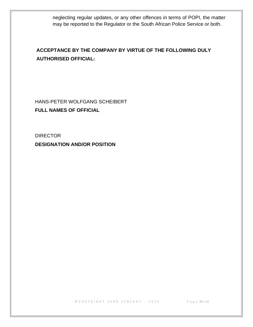neglecting regular updates, or any other offences in terms of POPI, the matter may be reported to the Regulator or the South African Police Service or both.

## **ACCEPTANCE BY THE COMPANY BY VIRTUE OF THE FOLLOWING DULY AUTHORISED OFFICIAL:**

HANS-PETER WOLFGANG SCHEIBERT **FULL NAMES OF OFFICIAL**

**DIRECTOR DESIGNATION AND/OR POSITION**

© C O P Y R I G H T S E R R S Y N E R G Y - 2015 P a g e 38 | 62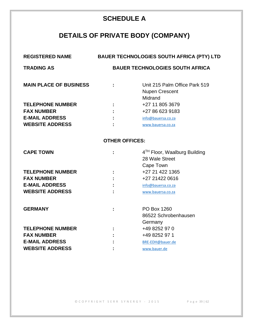# **SCHEDULE A**

# **DETAILS OF PRIVATE BODY (COMPANY)**

<span id="page-38-0"></span>

| <b>REGISTERED NAME</b>        |                                        | <b>BAUER TECHNOLOGIES SOUTH AFRICA (PTY) LTD</b> |  |
|-------------------------------|----------------------------------------|--------------------------------------------------|--|
| <b>TRADING AS</b>             | <b>BAUER TECHNOLOGIES SOUTH AFRICA</b> |                                                  |  |
|                               |                                        |                                                  |  |
| <b>MAIN PLACE OF BUSINESS</b> |                                        | Unit 215 Palm Office Park 519                    |  |
|                               |                                        | <b>Nupen Crescent</b><br>Midrand                 |  |
| <b>TELEPHONE NUMBER</b>       |                                        | +27 11 805 3679                                  |  |
| <b>FAX NUMBER</b>             |                                        | +27 86 623 9183                                  |  |
| <b>E-MAIL ADDRESS</b>         |                                        | info@bauersa.co.za                               |  |
| <b>WEBSITE ADDRESS</b>        |                                        | www.bauersa.co.za                                |  |
|                               |                                        |                                                  |  |
|                               | <b>OTHER OFFICES:</b>                  |                                                  |  |
| <b>CAPE TOWN</b>              |                                        | 4 <sup>TH</sup> Floor, Waalburg Building         |  |
|                               |                                        | 28 Wale Street                                   |  |
|                               |                                        | Cape Town                                        |  |
| <b>TELEPHONE NUMBER</b>       |                                        | +27 21 422 1365                                  |  |
| <b>FAX NUMBER</b>             |                                        | +27 21422 0616                                   |  |
| <b>E-MAIL ADDRESS</b>         |                                        | info@bauersa.co.za                               |  |
| <b>WEBSITE ADDRESS</b>        |                                        | www.bauersa.co.za                                |  |
|                               |                                        |                                                  |  |
| <b>GERMANY</b>                |                                        | PO Box 1260                                      |  |
|                               |                                        | 86522 Schrobenhausen                             |  |
|                               |                                        | Germany                                          |  |
| <b>TELEPHONE NUMBER</b>       |                                        | +49 8252 97 0                                    |  |
| <b>FAX NUMBER</b>             |                                        | +49 8252 97 1                                    |  |
| <b>E-MAIL ADDRESS</b>         |                                        | BRE-EDH@bauer.de                                 |  |
| <b>WEBSITE ADDRESS</b>        |                                        | www.bauer.de                                     |  |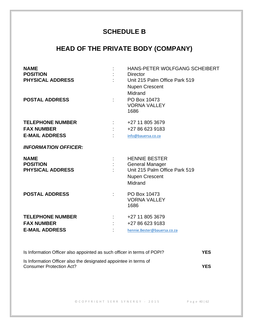## **SCHEDULE B**

# <span id="page-39-0"></span>**HEAD OF THE PRIVATE BODY (COMPANY)**

| <b>NAME</b><br><b>POSITION</b><br><b>PHYSICAL ADDRESS</b><br><b>POSTAL ADDRESS</b> |                              | HANS-PETER WOLFGANG SCHEIBERT<br><b>Director</b><br>Unit 215 Palm Office Park 519<br><b>Nupen Crescent</b><br>Midrand<br>PO Box 10473 |
|------------------------------------------------------------------------------------|------------------------------|---------------------------------------------------------------------------------------------------------------------------------------|
|                                                                                    |                              | <b>VORNA VALLEY</b><br>1686                                                                                                           |
| <b>TELEPHONE NUMBER</b>                                                            | $\mathcal{L}^{\text{max}}$ . | +27 11 805 3679                                                                                                                       |
| <b>FAX NUMBER</b>                                                                  |                              | +27 86 623 9183                                                                                                                       |
| <b>E-MAIL ADDRESS</b>                                                              |                              | info@bauersa.co.za                                                                                                                    |
| <b>INFORMATION OFFICER:</b>                                                        |                              |                                                                                                                                       |
| <b>NAME</b><br><b>POSITION</b><br><b>PHYSICAL ADDRESS</b>                          |                              | <b>HENNIE BESTER</b><br><b>General Manager</b><br>Unit 215 Palm Office Park 519<br><b>Nupen Crescent</b><br>Midrand                   |
| <b>POSTAL ADDRESS</b>                                                              |                              | PO Box 10473<br><b>VORNA VALLEY</b><br>1686                                                                                           |
| <b>TELEPHONE NUMBER</b><br><b>FAX NUMBER</b><br><b>E-MAIL ADDRESS</b>              |                              | +27 11 805 3679<br>+27 86 623 9183<br>hennie.Bester@bauersa.co.za                                                                     |

| Is Information Officer also appointed as such officer in terms of POPI?                      | YES        |
|----------------------------------------------------------------------------------------------|------------|
| Is Information Officer also the designated appointee in terms of<br>Consumer Protection Act? | <b>YES</b> |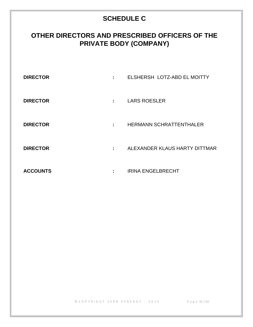# **SCHEDULE C**

# <span id="page-40-0"></span>**OTHER DIRECTORS AND PRESCRIBED OFFICERS OF THE PRIVATE BODY (COMPANY)**

| <b>DIRECTOR</b> | ٠. | ELSHERSH LOTZ-ABD EL MOITTY    |
|-----------------|----|--------------------------------|
| <b>DIRECTOR</b> | ж. | <b>LARS ROESLER</b>            |
| <b>DIRECTOR</b> | ÷  | <b>HERMANN SCHRATTENTHALER</b> |
| <b>DIRECTOR</b> | ٠  | ALEXANDER KLAUS HARTY DITTMAR  |
| <b>ACCOUNTS</b> | ٠  | <b>IRINA ENGELBRECHT</b>       |

© C O P Y R I G H T S E R R S Y N E R G Y - 2015 P a g e 41 | 62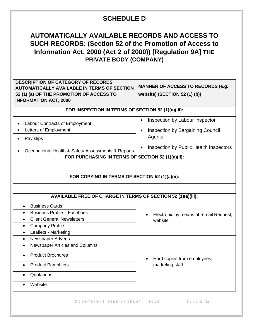## **SCHEDULE D**

## <span id="page-41-0"></span>**AUTOMATICALLY AVAILABLE RECORDS AND ACCESS TO SUCH RECORDS: (Section 52 of the Promotion of Access to Information Act, 2000 (Act 2 of 2000)) [Regulation 9A] THE PRIVATE BODY (COMPANY)**

| <b>DESCRIPTION OF CATEGORY OF RECORDS</b><br><b>AUTOMATICALLY AVAILABLE IN TERMS OF SECTION</b><br>52 (1) (a) OF THE PROMOTION OF ACCESS TO<br><b>INFORMATION ACT, 2000</b> | <b>MANNER OF ACCESS TO RECORDS (e.g.</b><br>website) (SECTION 52 (1) (b)) |
|-----------------------------------------------------------------------------------------------------------------------------------------------------------------------------|---------------------------------------------------------------------------|
| FOR INSPECTION IN TERMS OF SECTION 52 (1)(a)(iii):                                                                                                                          |                                                                           |
| Labour Contracts of Employment                                                                                                                                              | Inspection by Labour Inspector<br>$\bullet$                               |
| Letters of Employment                                                                                                                                                       | Inspection by Bargaining Council<br>$\bullet$                             |
| Pay slips                                                                                                                                                                   | Agents                                                                    |
| Occupational Health & Safety Assessments & Reports                                                                                                                          | Inspection by Public Health Inspectors<br>$\bullet$                       |
| FOR PURCHASING IN TERMS OF SECTION 52 (1)(a)(ii):                                                                                                                           |                                                                           |
| FOR COPYING IN TERMS OF SECTION 52 (1)(a)(ii):<br><b>AVAILABLE FREE OF CHARGE IN TERMS OF SECTION 52 (1)(a)(iii):</b>                                                       |                                                                           |
| <b>Business Cards</b><br>$\bullet$                                                                                                                                          |                                                                           |
| <b>Business Profile - Facebook</b>                                                                                                                                          | Electronic by means of e-mail Request,                                    |
| <b>Client General Newsletters</b><br>$\bullet$                                                                                                                              | website                                                                   |
| <b>Company Profile</b><br>$\bullet$                                                                                                                                         |                                                                           |
| Leaflets - Marketing<br>$\bullet$                                                                                                                                           |                                                                           |
| Newspaper Adverts<br>$\bullet$                                                                                                                                              |                                                                           |
| Newspaper Articles and Columns<br>$\bullet$                                                                                                                                 |                                                                           |
| <b>Product Brochures</b>                                                                                                                                                    | Hard copies from employees,                                               |
| <b>Product Pamphlets</b>                                                                                                                                                    | marketing staff                                                           |
| Quotations                                                                                                                                                                  |                                                                           |
| Website                                                                                                                                                                     |                                                                           |
| © COPYRIGHT SERR SYNERGY - 2015                                                                                                                                             | Page 42   62                                                              |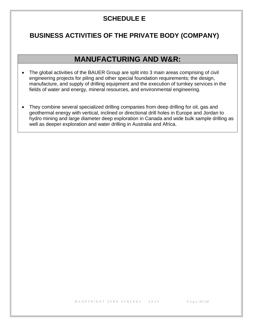## **SCHEDULE E**

## <span id="page-42-0"></span>**BUSINESS ACTIVITIES OF THE PRIVATE BODY (COMPANY)**

## **MANUFACTURING AND W&R:**

- The global activities of the BAUER Group are split into 3 main areas comprising of civil engineering projects for piling and other special foundation requirements; the design, manufacture, and supply of drilling equipment and the execution of turnkey services in the fields of water and energy, mineral resources, and environmental engineering.
- They combine several specialized drilling companies from deep drilling for oil, gas and geothermal energy with vertical, inclined or directional drill holes in Europe and Jordan to hydro mining and large diameter deep exploration in Canada and wide bulk sample drilling as well as deeper exploration and water drilling in Australia and Africa.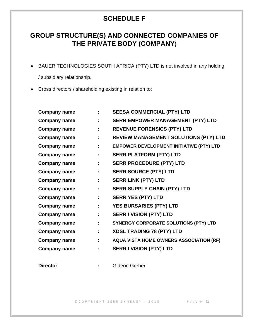## **SCHEDULE F**

# <span id="page-43-0"></span>**GROUP STRUCTURE(S) AND CONNECTED COMPANIES OF THE PRIVATE BODY (COMPANY)**

• BAUER TECHNOLOGIES SOUTH AFRICA (PTY) LTD is not involved in any holding

/ subsidiary relationship.

• Cross directors / shareholding existing in relation to:

| <b>Company name</b> |    | <b>SEESA COMMERCIAL (PTY) LTD</b>               |
|---------------------|----|-------------------------------------------------|
| <b>Company name</b> |    | <b>SERR EMPOWER MANAGEMENT (PTY) LTD</b>        |
| <b>Company name</b> | t, | <b>REVENUE FORENSICS (PTY) LTD</b>              |
| <b>Company name</b> |    | <b>REVIEW MANAGEMENT SOLUTIONS (PTY) LTD</b>    |
| <b>Company name</b> |    | <b>EMPOWER DEVELOPMENT INITIATIVE (PTY) LTD</b> |
| <b>Company name</b> |    | <b>SERR PLATFORM (PTY) LTD</b>                  |
| <b>Company name</b> |    | <b>SERR PROCEDURE (PTY) LTD</b>                 |
| <b>Company name</b> |    | <b>SERR SOURCE (PTY) LTD</b>                    |
| <b>Company name</b> |    | <b>SERR LINK (PTY) LTD</b>                      |
| <b>Company name</b> |    | <b>SERR SUPPLY CHAIN (PTY) LTD</b>              |
| <b>Company name</b> | t  | <b>SERR YES (PTY) LTD</b>                       |
| <b>Company name</b> | ÷  | <b>YES BURSARIES (PTY) LTD</b>                  |
| <b>Company name</b> | ÷  | <b>SERR I VISION (PTY) LTD</b>                  |
| <b>Company name</b> |    | <b>SYNERGY CORPORATE SOLUTIONS (PTY) LTD</b>    |
| <b>Company name</b> |    | <b>XDSL TRADING 78 (PTY) LTD</b>                |
| <b>Company name</b> |    | <b>AQUA VISTA HOME OWNERS ASSOCIATION (RF)</b>  |
| <b>Company name</b> |    | <b>SERR I VISION (PTY) LTD</b>                  |
|                     |    |                                                 |

**Director :** Gideon Gerber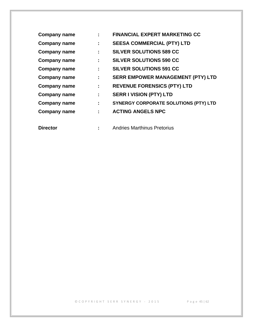| <b>Company name</b> |    | <b>FINANCIAL EXPERT MARKETING CC</b>         |
|---------------------|----|----------------------------------------------|
| <b>Company name</b> | ÷  | <b>SEESA COMMERCIAL (PTY) LTD</b>            |
| <b>Company name</b> |    | <b>SILVER SOLUTIONS 589 CC</b>               |
| <b>Company name</b> | ÷  | <b>SILVER SOLUTIONS 590 CC</b>               |
| <b>Company name</b> | ÷  | <b>SILVER SOLUTIONS 591 CC</b>               |
| <b>Company name</b> | ÷  | <b>SERR EMPOWER MANAGEMENT (PTY) LTD</b>     |
| <b>Company name</b> | ÷. | <b>REVENUE FORENSICS (PTY) LTD</b>           |
| <b>Company name</b> | ÷. | <b>SERR I VISION (PTY) LTD</b>               |
| <b>Company name</b> | ÷  | <b>SYNERGY CORPORATE SOLUTIONS (PTY) LTD</b> |
| <b>Company name</b> | ÷  | <b>ACTING ANGELS NPC</b>                     |
| <b>Director</b>     |    | <b>Andries Marthinus Pretorius</b>           |

© C O P Y R I G H T S E R R S Y N E R G Y - 2015 P a g e 45 | 62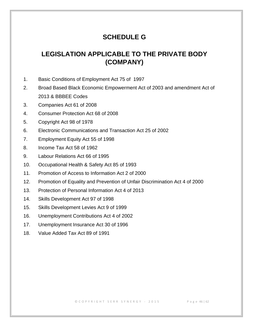## **SCHEDULE G**

## <span id="page-45-0"></span>**LEGISLATION APPLICABLE TO THE PRIVATE BODY (COMPANY)**

- 1. Basic Conditions of Employment Act 75 of 1997
- 2. Broad Based Black Economic Empowerment Act of 2003 and amendment Act of 2013 & BBBEE Codes
- 3. Companies Act 61 of 2008
- 4. Consumer Protection Act 68 of 2008
- 5. Copyright Act 98 of 1978
- 6. Electronic Communications and Transaction Act 25 of 2002
- 7. Employment Equity Act 55 of 1998
- 8. Income Tax Act 58 of 1962
- 9. Labour Relations Act 66 of 1995
- 10. Occupational Health & Safety Act 85 of 1993
- 11. Promotion of Access to Information Act 2 of 2000
- 12. Promotion of Equality and Prevention of Unfair Discrimination Act 4 of 2000
- 13. Protection of Personal Information Act 4 of 2013
- 14. Skills Development Act 97 of 1998
- 15. Skills Development Levies Act 9 of 1999
- 16. Unemployment Contributions Act 4 of 2002
- 17. Unemployment Insurance Act 30 of 1996
- 18. Value Added Tax Act 89 of 1991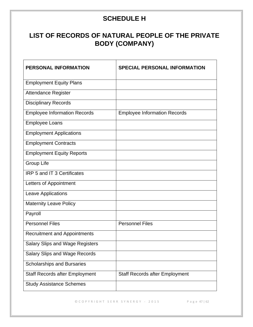# **SCHEDULE H**

# <span id="page-46-0"></span>**LIST OF RECORDS OF NATURAL PEOPLE OF THE PRIVATE BODY (COMPANY)**

| <b>PERSONAL INFORMATION</b>            | <b>SPECIAL PERSONAL INFORMATION</b>   |
|----------------------------------------|---------------------------------------|
| <b>Employment Equity Plans</b>         |                                       |
| <b>Attendance Register</b>             |                                       |
| <b>Disciplinary Records</b>            |                                       |
| <b>Employee Information Records</b>    | <b>Employee Information Records</b>   |
| <b>Employee Loans</b>                  |                                       |
| <b>Employment Applications</b>         |                                       |
| <b>Employment Contracts</b>            |                                       |
| <b>Employment Equity Reports</b>       |                                       |
| <b>Group Life</b>                      |                                       |
| <b>IRP 5 and IT 3 Certificates</b>     |                                       |
| Letters of Appointment                 |                                       |
| Leave Applications                     |                                       |
| <b>Maternity Leave Policy</b>          |                                       |
| Payroll                                |                                       |
| <b>Personnel Files</b>                 | <b>Personnel Files</b>                |
| <b>Recruitment and Appointments</b>    |                                       |
| <b>Salary Slips and Wage Registers</b> |                                       |
| <b>Salary Slips and Wage Records</b>   |                                       |
| <b>Scholarships and Bursaries</b>      |                                       |
| <b>Staff Records after Employment</b>  | <b>Staff Records after Employment</b> |
| <b>Study Assistance Schemes</b>        |                                       |

© C O P Y R I G H T S E R R S Y N E R G Y - 2015 P a g e 47 | 62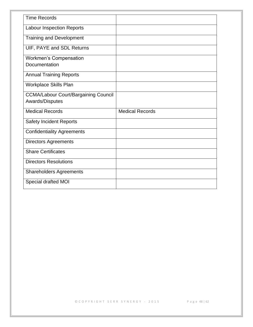| <b>Time Records</b>                         |                        |
|---------------------------------------------|------------------------|
| <b>Labour Inspection Reports</b>            |                        |
| <b>Training and Development</b>             |                        |
| UIF, PAYE and SDL Returns                   |                        |
| <b>Workmen's Compensation</b>               |                        |
| Documentation                               |                        |
| <b>Annual Training Reports</b>              |                        |
| <b>Workplace Skills Plan</b>                |                        |
| <b>CCMA/Labour Court/Bargaining Council</b> |                        |
| Awards/Disputes                             |                        |
| <b>Medical Records</b>                      | <b>Medical Records</b> |
| <b>Safety Incident Reports</b>              |                        |
| <b>Confidentiality Agreements</b>           |                        |
| <b>Directors Agreements</b>                 |                        |
| <b>Share Certificates</b>                   |                        |
| <b>Directors Resolutions</b>                |                        |
| <b>Shareholders Agreements</b>              |                        |
| Special drafted MOI                         |                        |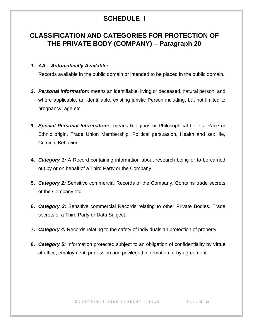# **SCHEDULE I**

## <span id="page-48-0"></span>**CLASSIFICATION AND CATEGORIES FOR PROTECTION OF THE PRIVATE BODY (COMPANY) – Paragraph 20**

#### *1. AA – Automatically Available:*

Records available in the public domain or intended to be placed in the public domain.

- **2.** *Personal Information:* means an identifiable, living or deceased, natural person, and where applicable, an identifiable, existing juristic Person including, but not limited to pregnancy, age etc.
- **3.** *Special Personal Information:* means Religious or Philosophical beliefs, Race or Ethnic origin, Trade Union Membership, Political persuasion, Health and sex life, Criminal Behavior
- **4.** *Category 1:* A Record containing information about research being or to be carried out by or on behalf of a Third Party or the Company.
- **5.** *Category 2:* Sensitive commercial Records of the Company, Contains trade secrets of the Company etc.
- **6.** *Category 3:* Sensitive commercial Records relating to other Private Bodies. Trade secrets of a Third Party or Data Subject.
- **7.** *Category 4:* Records relating to the safety of individuals an protection of property
- **8.** *Category 5:* Information protected subject to an obligation of confidentiality by virtue of office, employment, profession and privileged information or by agreement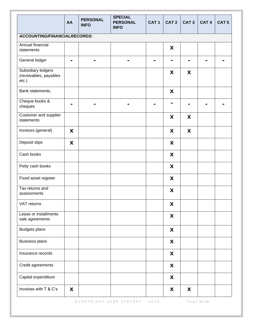|                                                          | AA | <b>PERSONAL</b><br><b>INFO</b> | <b>SPECIAL</b><br><b>PERSONAL</b><br><b>INFO</b> | CAT <sub>1</sub> | CAT <sub>2</sub> | CAT <sub>3</sub> | CAT <sub>4</sub> | CAT <sub>5</sub> |
|----------------------------------------------------------|----|--------------------------------|--------------------------------------------------|------------------|------------------|------------------|------------------|------------------|
| ACCOUNTING/FINANCIALRECORDS:                             |    |                                |                                                  |                  |                  |                  |                  |                  |
| Annual financial<br>statements                           |    |                                |                                                  |                  | X                |                  |                  |                  |
| General ledger                                           | ۰  |                                |                                                  | н                |                  |                  |                  |                  |
| Subsidiary ledgers<br>(receivables, payables<br>$etc.$ ) |    |                                |                                                  |                  | X                | X                |                  |                  |
| Bank statements,                                         |    |                                |                                                  |                  | X                |                  |                  |                  |
| Cheque books &<br>cheques                                |    |                                |                                                  |                  |                  |                  |                  |                  |
| Customer and supplier<br>statements                      |    |                                |                                                  |                  | X                | X                |                  |                  |
| Invoices (general)                                       | X  |                                |                                                  |                  | X                | X                |                  |                  |
| Deposit slips                                            | X  |                                |                                                  |                  | X                |                  |                  |                  |
| Cash books                                               |    |                                |                                                  |                  | X                |                  |                  |                  |
| Petty cash books                                         |    |                                |                                                  |                  | X                |                  |                  |                  |
| Fixed asset register                                     |    |                                |                                                  |                  | X                |                  |                  |                  |
| Tax returns and<br>assessments                           |    |                                |                                                  |                  | X                |                  |                  |                  |
| VAT returns                                              |    |                                |                                                  |                  | X                |                  |                  |                  |
| Lease or installments<br>sale agreements                 |    |                                |                                                  |                  | X                |                  |                  |                  |
| <b>Budgets plans</b>                                     |    |                                |                                                  |                  | X                |                  |                  |                  |
| <b>Business plans</b>                                    |    |                                |                                                  |                  | X                |                  |                  |                  |
| Insurance records                                        |    |                                |                                                  |                  | X                |                  |                  |                  |
| Credit agreements                                        |    |                                |                                                  |                  | X                |                  |                  |                  |
| Capital expenditure                                      |    |                                |                                                  |                  | X                |                  |                  |                  |
| Invoices with T & C's                                    | X  |                                |                                                  |                  | X                | X                |                  |                  |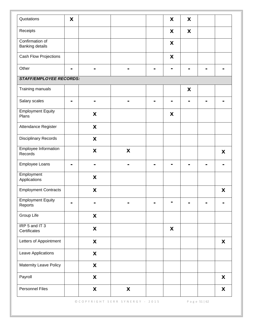| Quotations                                | X              |                           |                    |                | X                         | X |   |
|-------------------------------------------|----------------|---------------------------|--------------------|----------------|---------------------------|---|---|
| Receipts                                  |                |                           |                    |                | X                         | X |   |
| Confirmation of<br><b>Banking details</b> |                |                           |                    |                | X                         |   |   |
| Cash Flow Projections                     |                |                           |                    |                | $\boldsymbol{\mathsf{X}}$ |   |   |
| Other                                     | $\blacksquare$ | $\blacksquare$            |                    | $\blacksquare$ | -                         |   |   |
| <b>STAFF/EMPLOYEE RECORDS:</b>            |                |                           |                    |                |                           |   |   |
| Training manuals                          |                |                           |                    |                |                           | X |   |
| Salary scales                             | $\blacksquare$ | ۰                         |                    |                | -                         |   |   |
| <b>Employment Equity</b><br>Plans         |                | X                         |                    |                | X                         |   |   |
| Attendance Register                       |                | X                         |                    |                |                           |   |   |
| <b>Disciplinary Records</b>               |                | $\boldsymbol{\mathsf{X}}$ |                    |                |                           |   |   |
| <b>Employee Information</b><br>Records    |                | $\boldsymbol{\mathsf{X}}$ | X                  |                |                           |   | X |
| Employee Loans                            |                |                           |                    |                |                           |   |   |
| Employment<br>Applications                |                | X                         |                    |                |                           |   |   |
| <b>Employment Contracts</b>               |                | $\boldsymbol{\mathsf{X}}$ |                    |                |                           |   | X |
| <b>Employment Equity</b><br>Reports       |                |                           |                    |                |                           |   |   |
| Group Life                                |                | $\boldsymbol{\mathsf{X}}$ |                    |                |                           |   |   |
| IRP 5 and IT 3<br>Certificates            |                | X                         |                    |                | X                         |   |   |
| Letters of Appointment                    |                | X                         |                    |                |                           |   | X |
| Leave Applications                        |                | X                         |                    |                |                           |   |   |
| Maternity Leave Policy                    |                | $\pmb{\mathsf{X}}$        |                    |                |                           |   |   |
| Payroll                                   |                | $\boldsymbol{\mathsf{X}}$ |                    |                |                           |   | X |
| <b>Personnel Files</b>                    |                | $\boldsymbol{\mathsf{X}}$ | $\pmb{\mathsf{X}}$ |                |                           |   | X |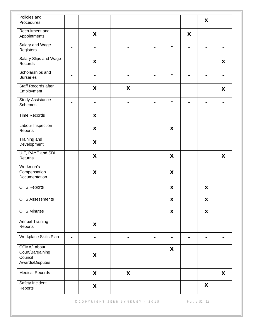| Policies and<br>Procedures                                           |                           |   |   |                |   | X |   |
|----------------------------------------------------------------------|---------------------------|---|---|----------------|---|---|---|
| Recruitment and<br>Appointments                                      | X                         |   |   |                | X |   |   |
| Salary and Wage                                                      |                           |   |   |                |   |   |   |
| Registers                                                            |                           |   |   |                |   |   |   |
| Salary Slips and Wage<br>Records                                     | X                         |   |   |                |   |   | X |
| Scholarships and<br><b>Bursaries</b>                                 |                           |   |   | $\blacksquare$ |   |   |   |
| <b>Staff Records after</b><br>Employment                             | X                         | X |   |                |   |   | X |
| <b>Study Assistance</b><br><b>Schemes</b>                            |                           |   |   |                |   |   |   |
| <b>Time Records</b>                                                  | $\boldsymbol{\mathsf{X}}$ |   |   |                |   |   |   |
| Labour Inspection<br>Reports                                         | X                         |   |   | X              |   |   |   |
| Training and<br>Development                                          | X                         |   |   |                |   |   |   |
| UIF, PAYE and SDL<br>Returns                                         | $\boldsymbol{\mathsf{X}}$ |   |   | X              |   |   | X |
| Workmen's<br>Compensation<br>Documentation                           | X                         |   |   | X              |   |   |   |
| <b>OHS Reports</b>                                                   |                           |   |   | X              |   | X |   |
| <b>OHS Assessments</b>                                               |                           |   |   | X              |   | X |   |
| <b>OHS Minutes</b>                                                   |                           |   |   | X              |   | X |   |
| <b>Annual Training</b><br>Reports                                    | X                         |   |   |                |   |   |   |
| Workplace Skills Plan<br>۰                                           |                           |   | - | ۰              |   |   |   |
| <b>CCMA/Labour</b><br>Court/Bargaining<br>Council<br>Awards/Disputes | X                         |   |   | X              |   |   |   |
| <b>Medical Records</b>                                               | X                         | X |   |                |   |   | X |
| Safety Incident<br>Reports                                           | X                         |   |   |                |   | X |   |

© C O P Y R I G H T S E R R S Y N E R G Y - 2015 P a g e 52 | 62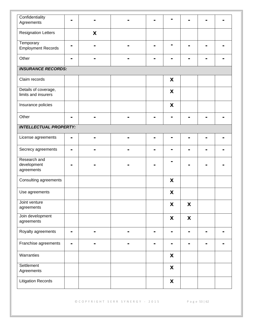| Confidentiality                             |                |   |  |                    |   |  |
|---------------------------------------------|----------------|---|--|--------------------|---|--|
| Agreements                                  |                |   |  |                    |   |  |
| <b>Resignation Letters</b>                  |                | X |  |                    |   |  |
| Temporary<br><b>Employment Records</b>      |                |   |  |                    |   |  |
| Other                                       |                |   |  |                    |   |  |
| <b>INSURANCE RECORDS:</b>                   |                |   |  |                    |   |  |
| Claim records                               |                |   |  | X                  |   |  |
| Details of coverage,<br>limits and insurers |                |   |  | X                  |   |  |
| Insurance policies                          |                |   |  | X                  |   |  |
| Other                                       |                |   |  |                    |   |  |
| <b>INTELLECTUAL PROPERTY:</b>               |                |   |  |                    |   |  |
| License agreements                          | $\blacksquare$ |   |  |                    |   |  |
| Secrecy agreements                          |                |   |  |                    |   |  |
| Research and<br>development<br>agreements   |                |   |  |                    |   |  |
| Consulting agreements                       |                |   |  | X                  |   |  |
| Use agreements                              |                |   |  | X                  |   |  |
| Joint venture<br>agreements                 |                |   |  | X                  | X |  |
| Join development<br>agreements              |                |   |  | X                  | X |  |
| Royalty agreements                          | ۰              | н |  | ۰                  |   |  |
| Franchise agreements                        | $\blacksquare$ | ۰ |  | ۰                  |   |  |
| Warranties                                  |                |   |  | X                  |   |  |
| Settlement<br>Agreements                    |                |   |  | $\pmb{\mathsf{X}}$ |   |  |
| <b>Litigation Records</b>                   |                |   |  | X                  |   |  |

© C O P Y R I G H T S E R R S Y N E R G Y - 2015 P a g e 53 | 62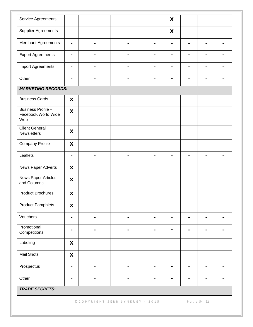| Service Agreements                               |                           |                |                | X |   |   |   |
|--------------------------------------------------|---------------------------|----------------|----------------|---|---|---|---|
| <b>Supplier Agreements</b>                       |                           |                |                | X |   |   |   |
| <b>Merchant Agreements</b>                       | $\blacksquare$            | $\blacksquare$ |                |   |   |   |   |
| <b>Export Agreements</b>                         |                           |                |                |   |   |   |   |
| <b>Import Agreements</b>                         |                           |                |                |   |   |   |   |
| Other                                            | $\blacksquare$            | $\blacksquare$ | $\blacksquare$ | ۰ | - | - | - |
| <b>MARKETING RECORDS:</b>                        |                           |                |                |   |   |   |   |
| <b>Business Cards</b>                            | X                         |                |                |   |   |   |   |
| Business Profile -<br>Facebook/World Wide<br>Web | X                         |                |                |   |   |   |   |
| <b>Client General</b><br>Newsletters             | X                         |                |                |   |   |   |   |
| <b>Company Profile</b>                           | X                         |                |                |   |   |   |   |
| Leaflets                                         | -                         | $\blacksquare$ |                |   |   |   |   |
| News Paper Adverts                               | X                         |                |                |   |   |   |   |
| <b>News Paper Articles</b><br>and Columns        | X                         |                |                |   |   |   |   |
| <b>Product Brochures</b>                         | X                         |                |                |   |   |   |   |
| <b>Product Pamphlets</b>                         | $\boldsymbol{\mathsf{X}}$ |                |                |   |   |   |   |
| Vouchers                                         | $\blacksquare$            | $\blacksquare$ | -              |   |   |   |   |
| Promotional<br>Competitions                      |                           | -              |                |   |   |   |   |
| Labeling                                         | X                         |                |                |   |   |   |   |
| Mail Shots                                       | X                         |                |                |   |   |   |   |
| Prospectus                                       | $\blacksquare$            |                | -              |   |   |   |   |
| Other                                            |                           | $\blacksquare$ | -              |   |   |   |   |
| <b>TRADE SECRETS:</b>                            |                           |                |                |   |   |   |   |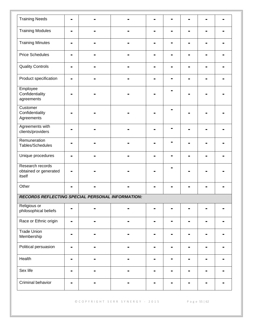| <b>Training Needs</b>                                   | $\blacksquare$ |  |   |   |   |   |   |  |
|---------------------------------------------------------|----------------|--|---|---|---|---|---|--|
| <b>Training Modules</b>                                 | $\blacksquare$ |  |   |   |   | н | - |  |
| <b>Training Minutes</b>                                 |                |  |   |   |   |   |   |  |
| <b>Price Schedules</b>                                  |                |  |   |   |   |   |   |  |
| <b>Quality Controls</b>                                 | -              |  |   |   |   |   |   |  |
| Product specification                                   | $\blacksquare$ |  | - | - | ۰ | ь | - |  |
| Employee<br>Confidentiality<br>agreements               |                |  |   |   |   |   |   |  |
| Customer<br>Confidentiality<br>Agreements               |                |  |   |   |   |   |   |  |
| Agreements with<br>clients/providers                    |                |  |   |   | ۰ |   |   |  |
| Remuneration<br>Tables/Schedules                        | -              |  |   |   |   |   |   |  |
| Unique procedures                                       |                |  |   |   |   |   |   |  |
| Research records<br>obtained or generated<br>itself     |                |  |   |   |   |   |   |  |
| Other                                                   |                |  |   |   |   |   |   |  |
| <b>RECORDS REFLECTING SPECIAL PERSONAL INFORMATION:</b> |                |  |   |   |   |   |   |  |
| Religious or<br>philosophical beliefs                   | -              |  |   |   |   |   |   |  |
| Race or Ethnic origin                                   | $\blacksquare$ |  | - |   |   |   |   |  |
| <b>Trade Union</b><br>-<br>Membership                   |                |  |   |   |   |   |   |  |
| Political persuasion<br>$\blacksquare$                  |                |  |   |   |   | - |   |  |
| Health                                                  | ۰              |  |   | - |   | ۰ | ۰ |  |
| Sex life                                                | -              |  |   |   |   |   |   |  |
| Criminal behavior                                       |                |  |   |   |   |   |   |  |

© C O P Y R I G H T S E R R S Y N E R G Y - 2015 P a g e 55 | 62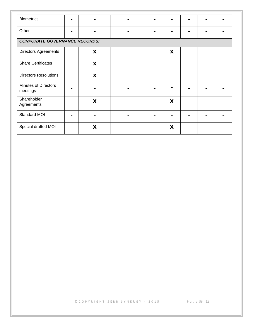| <b>Biometrics</b>                       |   |   |  |  |   |  |  |  |  |  |
|-----------------------------------------|---|---|--|--|---|--|--|--|--|--|
| Other                                   | - |   |  |  |   |  |  |  |  |  |
| <b>CORPORATE GOVERNANCE RECORDS:</b>    |   |   |  |  |   |  |  |  |  |  |
| <b>Directors Agreements</b>             |   | X |  |  | X |  |  |  |  |  |
| <b>Share Certificates</b>               |   | X |  |  |   |  |  |  |  |  |
| <b>Directors Resolutions</b>            |   | X |  |  |   |  |  |  |  |  |
| <b>Minutes of Directors</b><br>meetings |   |   |  |  |   |  |  |  |  |  |
| Shareholder<br>Agreements               |   | X |  |  | X |  |  |  |  |  |
| Standard MOI                            |   |   |  |  |   |  |  |  |  |  |
| Special drafted MOI                     |   | X |  |  | X |  |  |  |  |  |

© C O P Y R I G H T S E R R S Y N E R G Y - 2015 P a g e 56 | 62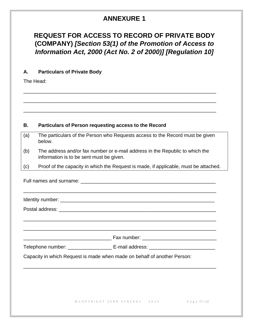## **ANNEXURE 1**

## <span id="page-56-0"></span>**REQUEST FOR ACCESS TO RECORD OF PRIVATE BODY (COMPANY)** *[Section 53(1) of the Promotion of Access to Information Act, 2000 (Act No. 2 of 2000)] [Regulation 10]*

## **A. Particulars of Private Body**

The Head:

### **B. Particulars of Person requesting access to the Record**

| (a) | The particulars of the Person who Requests access to the Record must be given |
|-----|-------------------------------------------------------------------------------|
|     | below.                                                                        |

\_\_\_\_\_\_\_\_\_\_\_\_\_\_\_\_\_\_\_\_\_\_\_\_\_\_\_\_\_\_\_\_\_\_\_\_\_\_\_\_\_\_\_\_\_\_\_\_\_\_\_\_\_\_\_\_\_\_\_\_\_\_\_\_\_\_\_\_\_\_

\_\_\_\_\_\_\_\_\_\_\_\_\_\_\_\_\_\_\_\_\_\_\_\_\_\_\_\_\_\_\_\_\_\_\_\_\_\_\_\_\_\_\_\_\_\_\_\_\_\_\_\_\_\_\_\_\_\_\_\_\_\_\_\_\_\_\_\_\_\_

\_\_\_\_\_\_\_\_\_\_\_\_\_\_\_\_\_\_\_\_\_\_\_\_\_\_\_\_\_\_\_\_\_\_\_\_\_\_\_\_\_\_\_\_\_\_\_\_\_\_\_\_\_\_\_\_\_\_\_\_\_\_\_\_\_\_\_\_\_\_

(b) The address and/or fax number or e-mail address in the Republic to which the information is to be sent must be given.

(c) Proof of the capacity in which the Request is made, if applicable, must be attached.

|  | ,我们也不能在这里的人,我们也不能在这里的人,我们也不能在这里的人,我们也不能在这里的人,我们也不能在这里的人,我们也不能在这里的人,我们也不能在这里的人,我们也 |  |
|--|-----------------------------------------------------------------------------------|--|
|  |                                                                                   |  |
|  | Telephone number: _____________________ E-mail address: ________________________  |  |
|  | Capacity in which Request is made when made on behalf of another Person:          |  |
|  |                                                                                   |  |
|  |                                                                                   |  |
|  |                                                                                   |  |
|  | © COPYRIGHT SERR SYNERGY - 2015 Page 57   62                                      |  |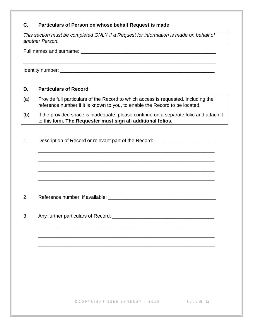## **C. Particulars of Person on whose behalf Request is made**

*This section must be completed ONLY if a Request for information is made on behalf of another Person.*

\_\_\_\_\_\_\_\_\_\_\_\_\_\_\_\_\_\_\_\_\_\_\_\_\_\_\_\_\_\_\_\_\_\_\_\_\_\_\_\_\_\_\_\_\_\_\_\_\_\_\_\_\_\_\_\_\_\_\_\_\_\_\_\_\_\_\_\_\_\_

Full names and surname:  $\Box$ 

Identity number: \_\_\_\_\_\_\_\_\_\_\_\_\_\_\_\_\_\_\_\_\_\_\_\_\_\_\_\_\_\_\_\_\_\_\_\_\_\_\_\_\_\_\_\_\_\_\_\_\_\_\_\_\_\_\_\_

#### **D. Particulars of Record**

- (a) Provide full particulars of the Record to which access is requested, including the reference number if it is known to you, to enable the Record to be located.
- (b) If the provided space is inadequate, please continue on a separate folio and attach it to this form. **The Requester must sign all additional folios.**

\_\_\_\_\_\_\_\_\_\_\_\_\_\_\_\_\_\_\_\_\_\_\_\_\_\_\_\_\_\_\_\_\_\_\_\_\_\_\_\_\_\_\_\_\_\_\_\_\_\_\_\_\_\_\_\_\_\_\_\_\_\_\_\_

\_\_\_\_\_\_\_\_\_\_\_\_\_\_\_\_\_\_\_\_\_\_\_\_\_\_\_\_\_\_\_\_\_\_\_\_\_\_\_\_\_\_\_\_\_\_\_\_\_\_\_\_\_\_\_\_\_\_\_\_\_\_\_\_

\_\_\_\_\_\_\_\_\_\_\_\_\_\_\_\_\_\_\_\_\_\_\_\_\_\_\_\_\_\_\_\_\_\_\_\_\_\_\_\_\_\_\_\_\_\_\_\_\_\_\_\_\_\_\_\_\_\_\_\_\_\_\_\_

\_\_\_\_\_\_\_\_\_\_\_\_\_\_\_\_\_\_\_\_\_\_\_\_\_\_\_\_\_\_\_\_\_\_\_\_\_\_\_\_\_\_\_\_\_\_\_\_\_\_\_\_\_\_\_\_\_\_\_\_\_\_\_\_

\_\_\_\_\_\_\_\_\_\_\_\_\_\_\_\_\_\_\_\_\_\_\_\_\_\_\_\_\_\_\_\_\_\_\_\_\_\_\_\_\_\_\_\_\_\_\_\_\_\_\_\_\_\_\_\_\_\_\_\_\_\_\_\_

\_\_\_\_\_\_\_\_\_\_\_\_\_\_\_\_\_\_\_\_\_\_\_\_\_\_\_\_\_\_\_\_\_\_\_\_\_\_\_\_\_\_\_\_\_\_\_\_\_\_\_\_\_\_\_\_\_\_\_\_\_\_\_\_

\_\_\_\_\_\_\_\_\_\_\_\_\_\_\_\_\_\_\_\_\_\_\_\_\_\_\_\_\_\_\_\_\_\_\_\_\_\_\_\_\_\_\_\_\_\_\_\_\_\_\_\_\_\_\_\_\_\_\_\_\_\_\_\_

1. Description of Record or relevant part of the Record: \_\_\_\_\_\_\_\_\_\_\_\_\_\_\_\_\_\_\_\_\_\_\_

2. Reference number, if available: 2. All and the matter of the Reference number, if available:

3. Any further particulars of Record:  $\blacksquare$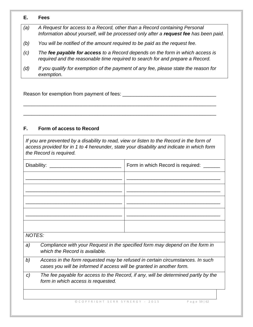#### **E. Fees**

- *(a) A Request for access to a Record, other than a Record containing Personal Information about yourself, will be processed only after a request fee has been paid.*
- *(b) You will be notified of the amount required to be paid as the request fee.*
- *(c) The fee payable for access to a Record depends on the form in which access is required and the reasonable time required to search for and prepare a Record.*
- *(d) If you qualify for exemption of the payment of any fee, please state the reason for exemption.*

\_\_\_\_\_\_\_\_\_\_\_\_\_\_\_\_\_\_\_\_\_\_\_\_\_\_\_\_\_\_\_\_\_\_\_\_\_\_\_\_\_\_\_\_\_\_\_\_\_\_\_\_\_\_\_\_\_\_\_\_\_\_\_\_\_\_\_\_\_\_

\_\_\_\_\_\_\_\_\_\_\_\_\_\_\_\_\_\_\_\_\_\_\_\_\_\_\_\_\_\_\_\_\_\_\_\_\_\_\_\_\_\_\_\_\_\_\_\_\_\_\_\_\_\_\_\_\_\_\_\_\_\_\_\_\_\_\_\_\_\_

Reason for exemption from payment of fees: \_\_\_\_\_\_\_\_\_\_\_\_\_\_\_\_\_\_\_\_\_\_\_\_\_\_\_\_\_\_\_\_\_\_

## **F. Form of access to Record**

*If you are prevented by a disability to read, view or listen to the Record in the form of access provided for in 1 to 4 hereunder, state your disability and indicate in which form the Record is required.*

|               | Disability:                                                           | Form in which Record is required:                                                  |  |  |  |  |
|---------------|-----------------------------------------------------------------------|------------------------------------------------------------------------------------|--|--|--|--|
|               |                                                                       |                                                                                    |  |  |  |  |
|               |                                                                       |                                                                                    |  |  |  |  |
|               |                                                                       |                                                                                    |  |  |  |  |
|               |                                                                       |                                                                                    |  |  |  |  |
|               |                                                                       |                                                                                    |  |  |  |  |
| <b>NOTES:</b> |                                                                       |                                                                                    |  |  |  |  |
| a)            | which the Record is available.                                        | Compliance with your Request in the specified form may depend on the form in       |  |  |  |  |
| b)            | cases you will be informed if access will be granted in another form. | Access in the form requested may be refused in certain circumstances. In such      |  |  |  |  |
| C)            | form in which access is requested.                                    | The fee payable for access to the Record, if any, will be determined partly by the |  |  |  |  |
|               | © COPYRIGHT SERR SYNERGY - 2015                                       | Page 59   62                                                                       |  |  |  |  |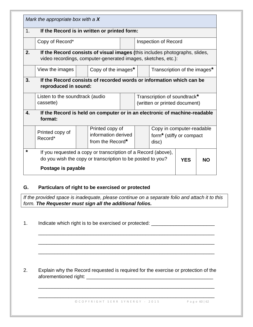|    | Mark the appropriate box with a $X$                                                                                                          |                                                               |                             |  |                                      |            |           |
|----|----------------------------------------------------------------------------------------------------------------------------------------------|---------------------------------------------------------------|-----------------------------|--|--------------------------------------|------------|-----------|
| 1. |                                                                                                                                              | If the Record is in written or printed form:                  |                             |  |                                      |            |           |
|    | Copy of Record*                                                                                                                              |                                                               | <b>Inspection of Record</b> |  |                                      |            |           |
| 2. | If the Record consists of visual images (this includes photographs, slides,<br>video recordings, computer-generated images, sketches, etc.): |                                                               |                             |  |                                      |            |           |
|    | View the images                                                                                                                              | Copy of the images*                                           |                             |  | Transcription of the images*         |            |           |
| 3. | If the Record consists of recorded words or information which can be<br>reproduced in sound:                                                 |                                                               |                             |  |                                      |            |           |
|    | Transcription of soundtrack*<br>Listen to the soundtrack (audio                                                                              |                                                               |                             |  |                                      |            |           |
|    | cassette)                                                                                                                                    | (written or printed document)                                 |                             |  |                                      |            |           |
| 4. | If the Record is held on computer or in an electronic of machine-readable<br>format:                                                         |                                                               |                             |  |                                      |            |           |
|    |                                                                                                                                              |                                                               |                             |  |                                      |            |           |
|    |                                                                                                                                              | Printed copy of                                               |                             |  | Copy in computer-readable            |            |           |
|    | Printed copy of<br>Record*                                                                                                                   | information derived                                           |                             |  | form <sup>*</sup> (stiffy or compact |            |           |
|    |                                                                                                                                              | from the Record*                                              |                             |  | disc)                                |            |           |
| *  |                                                                                                                                              | If you requested a copy or transcription of a Record (above), |                             |  |                                      |            |           |
|    |                                                                                                                                              | do you wish the copy or transcription to be posted to you?    |                             |  |                                      | <b>YES</b> | <b>NO</b> |

## **G. Particulars of right to be exercised or protected**

*If the provided space is inadequate, please continue on a separate folio and attach it to this form. The Requester must sign all the additional folios.*

\_\_\_\_\_\_\_\_\_\_\_\_\_\_\_\_\_\_\_\_\_\_\_\_\_\_\_\_\_\_\_\_\_\_\_\_\_\_\_\_\_\_\_\_\_\_\_\_\_\_\_\_\_\_\_\_\_\_\_\_\_\_\_\_

\_\_\_\_\_\_\_\_\_\_\_\_\_\_\_\_\_\_\_\_\_\_\_\_\_\_\_\_\_\_\_\_\_\_\_\_\_\_\_\_\_\_\_\_\_\_\_\_\_\_\_\_\_\_\_\_\_\_\_\_\_\_\_\_

\_\_\_\_\_\_\_\_\_\_\_\_\_\_\_\_\_\_\_\_\_\_\_\_\_\_\_\_\_\_\_\_\_\_\_\_\_\_\_\_\_\_\_\_\_\_\_\_\_\_\_\_\_\_\_\_\_\_\_\_\_\_\_\_

\_\_\_\_\_\_\_\_\_\_\_\_\_\_\_\_\_\_\_\_\_\_\_\_\_\_\_\_\_\_\_\_\_\_\_\_\_\_\_\_\_\_\_\_\_\_\_\_\_\_\_\_\_\_\_\_\_\_\_\_\_\_\_\_

\_\_\_\_\_\_\_\_\_\_\_\_\_\_\_\_\_\_\_\_\_\_\_\_\_\_\_\_\_\_\_\_\_\_\_\_\_\_\_\_\_\_\_\_\_\_\_\_\_\_\_\_\_\_\_\_\_\_\_\_\_\_\_\_

1. Indicate which right is to be exercised or protected: \_\_\_\_\_\_\_\_\_\_\_\_\_\_\_\_\_\_\_\_\_\_\_

2. Explain why the Record requested is required for the exercise or protection of the aforementioned right: \_\_\_\_\_\_\_\_\_\_\_\_\_\_\_\_\_\_\_\_\_\_\_\_\_\_\_\_\_\_\_\_\_\_\_\_\_\_\_\_\_\_\_\_\_\_

© C O P Y R I G H T S E R R S Y N E R G Y - 2015 P a g e 60 | 62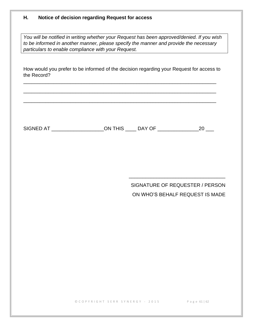## **H. Notice of decision regarding Request for access**

*You will be notified in writing whether your Request has been approved/denied. If you wish to be informed in another manner, please specify the manner and provide the necessary particulars to enable compliance with your Request.*

How would you prefer to be informed of the decision regarding your Request for access to the Record?

\_\_\_\_\_\_\_\_\_\_\_\_\_\_\_\_\_\_\_\_\_\_\_\_\_\_\_\_\_\_\_\_\_\_\_\_\_\_\_\_\_\_\_\_\_\_\_\_\_\_\_\_\_\_\_\_\_\_\_\_\_\_\_\_\_\_\_\_\_\_

\_\_\_\_\_\_\_\_\_\_\_\_\_\_\_\_\_\_\_\_\_\_\_\_\_\_\_\_\_\_\_\_\_\_\_\_\_\_\_\_\_\_\_\_\_\_\_\_\_\_\_\_\_\_\_\_\_\_\_\_\_\_\_\_\_\_\_\_\_\_

\_\_\_\_\_\_\_\_\_\_\_\_\_\_\_\_\_\_\_\_\_\_\_\_\_\_\_\_\_\_\_\_\_\_\_\_\_\_\_\_\_\_\_\_\_\_\_\_\_\_\_\_\_\_\_\_\_\_\_\_\_\_\_\_\_\_\_\_\_\_

SIGNED AT \_\_\_\_\_\_\_\_\_\_\_\_\_\_\_\_\_\_\_ON THIS \_\_\_\_ DAY OF \_\_\_\_\_\_\_\_\_\_\_\_\_\_\_20 \_\_\_

## SIGNATURE OF REQUESTER / PERSON ON WHO'S BEHALF REQUEST IS MADE

\_\_\_\_\_\_\_\_\_\_\_\_\_\_\_\_\_\_\_\_\_\_\_\_\_\_\_\_\_\_\_\_\_\_\_

© C O P Y R I G H T S E R R S Y N E R G Y - 2015 P a g e 61 | 62